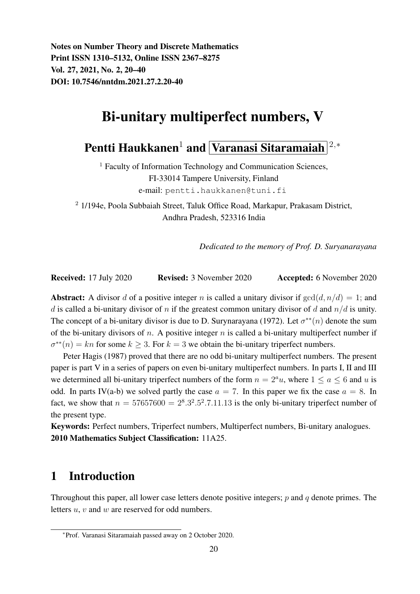Notes on Number Theory and Discrete Mathematics Print ISSN 1310–5132, Online ISSN 2367–8275 Vol. 27, 2021, No. 2, 20–40 DOI: 10.7546/nntdm.2021.27.2.20-40

# Bi-unitary multiperfect numbers, V

Pentti Haukkanen<sup>1</sup> and Varanasi Sitaramaiah <sup>2,</sup>\*

<sup>1</sup> Faculty of Information Technology and Communication Sciences, FI-33014 Tampere University, Finland e-mail: pentti.haukkanen@tuni.fi

<sup>2</sup> 1/194e, Poola Subbaiah Street, Taluk Office Road, Markapur, Prakasam District, Andhra Pradesh, 523316 India

*Dedicated to the memory of Prof. D. Suryanarayana*

Received: 17 July 2020 Revised: 3 November 2020 Accepted: 6 November 2020

**Abstract:** A divisor d of a positive integer n is called a unitary divisor if  $gcd(d, n/d) = 1$ ; and d is called a bi-unitary divisor of n if the greatest common unitary divisor of d and  $n/d$  is unity. The concept of a bi-unitary divisor is due to D. Surynarayana (1972). Let  $\sigma^{**}(n)$  denote the sum of the bi-unitary divisors of n. A positive integer n is called a bi-unitary multiperfect number if  $\sigma^{**}(n) = kn$  for some  $k \geq 3$ . For  $k = 3$  we obtain the bi-unitary triperfect numbers.

Peter Hagis (1987) proved that there are no odd bi-unitary multiperfect numbers. The present paper is part V in a series of papers on even bi-unitary multiperfect numbers. In parts I, II and III we determined all bi-unitary triperfect numbers of the form  $n = 2<sup>a</sup>u$ , where  $1 \le a \le 6$  and u is odd. In parts IV(a-b) we solved partly the case  $a = 7$ . In this paper we fix the case  $a = 8$ . In fact, we show that  $n = 57657600 = 2^8 \cdot 3^2 \cdot 5^2 \cdot 7 \cdot 11 \cdot 13$  is the only bi-unitary triperfect number of the present type.

Keywords: Perfect numbers, Triperfect numbers, Multiperfect numbers, Bi-unitary analogues. 2010 Mathematics Subject Classification: 11A25.

## 1 Introduction

Throughout this paper, all lower case letters denote positive integers;  $p$  and  $q$  denote primes. The letters u, v and w are reserved for odd numbers.

<sup>∗</sup>Prof. Varanasi Sitaramaiah passed away on 2 October 2020.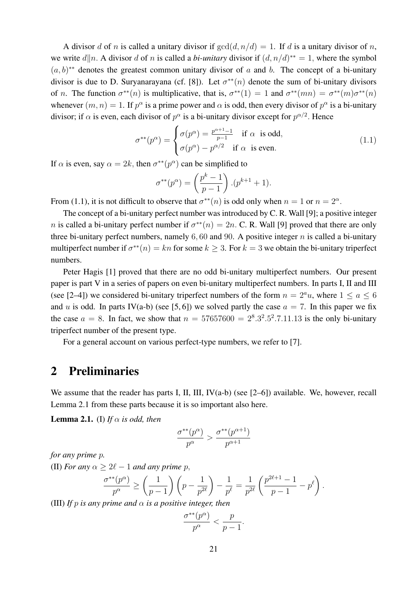A divisor d of n is called a unitary divisor if  $gcd(d, n/d) = 1$ . If d is a unitary divisor of n, we write  $d||n$ . A divisor d of n is called a *bi-unitary* divisor if  $(d, n/d)^{**} = 1$ , where the symbol  $(a, b)^{**}$  denotes the greatest common unitary divisor of a and b. The concept of a bi-unitary divisor is due to D. Suryanarayana (cf. [8]). Let  $\sigma^{**}(n)$  denote the sum of bi-unitary divisors of *n*. The function  $\sigma^{**}(n)$  is multiplicative, that is,  $\sigma^{**}(1) = 1$  and  $\sigma^{**}(mn) = \sigma^{**}(m)\sigma^{**}(n)$ whenever  $(m, n) = 1$ . If  $p^{\alpha}$  is a prime power and  $\alpha$  is odd, then every divisor of  $p^{\alpha}$  is a bi-unitary divisor; if  $\alpha$  is even, each divisor of  $p^{\alpha}$  is a bi-unitary divisor except for  $p^{\alpha/2}$ . Hence

$$
\sigma^{**}(p^{\alpha}) = \begin{cases} \sigma(p^{\alpha}) = \frac{p^{\alpha+1}-1}{p-1} & \text{if } \alpha \text{ is odd,} \\ \sigma(p^{\alpha}) - p^{\alpha/2} & \text{if } \alpha \text{ is even.} \end{cases}
$$
(1.1)

If  $\alpha$  is even, say  $\alpha = 2k$ , then  $\sigma^{**}(p^{\alpha})$  can be simplified to

$$
\sigma^{**}(p^{\alpha}) = \left(\frac{p^k - 1}{p - 1}\right) \cdot (p^{k+1} + 1).
$$

From (1.1), it is not difficult to observe that  $\sigma^{**}(n)$  is odd only when  $n = 1$  or  $n = 2^{\alpha}$ .

The concept of a bi-unitary perfect number was introduced by C. R. Wall [9]; a positive integer *n* is called a bi-unitary perfect number if  $\sigma^{**}(n) = 2n$ . C. R. Wall [9] proved that there are only three bi-unitary perfect numbers, namely  $6, 60$  and  $90$ . A positive integer n is called a bi-unitary multiperfect number if  $\sigma^{**}(n) = kn$  for some  $k \geq 3$ . For  $k = 3$  we obtain the bi-unitary triperfect numbers.

Peter Hagis [1] proved that there are no odd bi-unitary multiperfect numbers. Our present paper is part V in a series of papers on even bi-unitary multiperfect numbers. In parts I, II and III (see [2–4]) we considered bi-unitary triperfect numbers of the form  $n = 2<sup>a</sup>u$ , where  $1 \le a \le 6$ and u is odd. In parts IV(a-b) (see [5, 6]) we solved partly the case  $a = 7$ . In this paper we fix the case  $a = 8$ . In fact, we show that  $n = 57657600 = 2^8 \cdot 3^2 \cdot 5^2 \cdot 7 \cdot 11 \cdot 13$  is the only bi-unitary triperfect number of the present type.

For a general account on various perfect-type numbers, we refer to [7].

#### 2 Preliminaries

We assume that the reader has parts I, II, III, IV(a-b) (see [2–6]) available. We, however, recall Lemma 2.1 from these parts because it is so important also here.

**Lemma 2.1.** (I) If  $\alpha$  is odd, then

$$
\frac{\sigma^{**}(p^\alpha)}{p^\alpha}>\frac{\sigma^{**}(p^{\alpha+1})}{p^{\alpha+1}}
$$

*for any prime* p*.*

(II) *For any*  $\alpha > 2\ell - 1$  *and any prime* p,

$$
\frac{\sigma^{**}(p^{\alpha})}{p^{\alpha}} \ge \left(\frac{1}{p-1}\right)\left(p - \frac{1}{p^{2\ell}}\right) - \frac{1}{p^{\ell}} = \frac{1}{p^{2\ell}}\left(\frac{p^{2\ell+1} - 1}{p-1} - p^{\ell}\right).
$$

(III) *If* p *is any prime and*  $\alpha$  *is a positive integer, then* 

$$
\frac{\sigma^{**}(p^{\alpha})}{p^{\alpha}} < \frac{p}{p-1}.
$$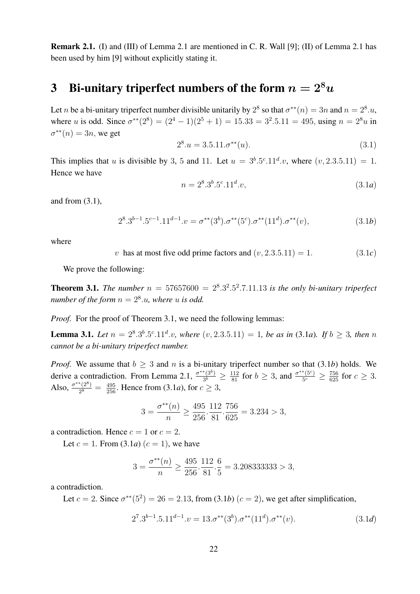Remark 2.1. (I) and (III) of Lemma 2.1 are mentioned in C. R. Wall [9]; (II) of Lemma 2.1 has been used by him [9] without explicitly stating it.

## 3 Bi-unitary triperfect numbers of the form  $n = 2<sup>8</sup>u$

Let *n* be a bi-unitary triperfect number divisible unitarily by  $2^8$  so that  $\sigma^{**}(n) = 3n$  and  $n = 2^8 u$ , where u is odd. Since  $\sigma^{**}(2^8) = (2^4 - 1)(2^5 + 1) = 15.33 = 3^2.5.11 = 495$ , using  $n = 2^8u$  in  $\sigma^{**}(n) = 3n$ , we get

$$
2^8 \cdot u = 3.5.11 \cdot \sigma^{**}(u). \tag{3.1}
$$

This implies that u is divisible by 3, 5 and 11. Let  $u = 3^b.5^c.11^d.v$ , where  $(v, 2.3.5.11) = 1$ . Hence we have

$$
n = 28.3b.5c.11d.v,
$$
\n(3.1a)

and from (3.1),

$$
2^{8} \cdot 3^{b-1} \cdot 5^{c-1} \cdot 11^{d-1} \cdot v = \sigma^{**}(3^b) \cdot \sigma^{**}(5^c) \cdot \sigma^{**}(11^d) \cdot \sigma^{**}(v), \tag{3.1b}
$$

where

v has at most five odd prime factors and  $(v, 2.3.5.11) = 1.$  (3.1*c*)

We prove the following:

**Theorem 3.1.** The number  $n = 57657600 = 2^8.3^2.5^2.7.11.13$  is the only bi-unitary triperfect *number of the form*  $n = 2<sup>8</sup>$ .*u*, where *u* is odd.

*Proof.* For the proof of Theorem 3.1, we need the following lemmas:

**Lemma 3.1.** Let  $n = 2^8 \cdot 3^b \cdot 5^c \cdot 11^d \cdot v$ , where  $(v, 2.3.5.11) = 1$ , be as in (3.1*a*). If  $b \ge 3$ , then n *cannot be a bi-unitary triperfect number.*

*Proof.* We assume that  $b \geq 3$  and n is a bi-unitary triperfect number so that (3.1*b*) holds. We derive a contradiction. From Lemma 2.1,  $\frac{\sigma^{**}(3^b)}{3^b}$  $\frac{f^{*}(3^{b})}{3^{b}} \geq \frac{112}{81}$  for  $b \geq 3$ , and  $\frac{\sigma^{**}(5^{c})}{5^{c}}$  $\frac{^{*\left( 5^{c}\right) }}{5^{c}}\geq\frac{756}{625}\text{ for }c\geq3.$ Also,  $\frac{\sigma^{**}(2^8)}{2^8}$  $\frac{\binom{2^8}{2^8}}{2^8} = \frac{495}{256}$ . Hence from (3.1*a*), for  $c \ge 3$ ,

$$
3 = \frac{\sigma^{**}(n)}{n} \ge \frac{495}{256} \cdot \frac{112}{81} \cdot \frac{756}{625} = 3.234 > 3,
$$

a contradiction. Hence  $c = 1$  or  $c = 2$ .

Let  $c = 1$ . From (3.1*a*)  $(c = 1)$ , we have

$$
3 = \frac{\sigma^{**}(n)}{n} \ge \frac{495}{256} \cdot \frac{112}{81} \cdot \frac{6}{5} = 3.208333333 > 3,
$$

a contradiction.

Let  $c = 2$ . Since  $\sigma^{**}(5^2) = 26 = 2.13$ , from (3.1*b*)  $(c = 2)$ , we get after simplification,

$$
27.3b-1.5.11d-1.v = 13. \sigma^{**}(3b).\sigma^{**}(11d).\sigma^{**}(v).
$$
\n(3.1*d*)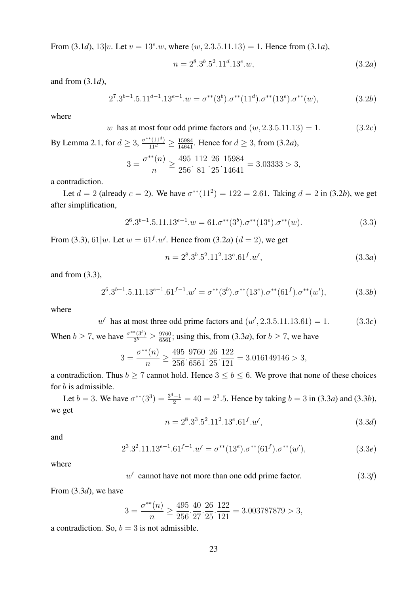From (3.1*d*),  $13|v$ . Let  $v = 13^e w$ , where  $(w, 2.3.5.11.13) = 1$ . Hence from (3.1*a*),

$$
n = 2^8 \cdot 3^b \cdot 5^2 \cdot 11^d \cdot 13^e \cdot w,\tag{3.2a}
$$

and from (3.1*d*),

$$
2^7 \cdot 3^{b-1} \cdot 5 \cdot 11^{d-1} \cdot 13^{e-1} \cdot w = \sigma^{**}(3^b) \cdot \sigma^{**}(11^d) \cdot \sigma^{**}(13^e) \cdot \sigma^{**}(w), \tag{3.2b}
$$

where

w has at most four odd prime factors and  $(w, 2.3.5.11.13) = 1.$  (3.2*c*)

By Lemma 2.1, for  $d \geq 3$ ,  $\frac{\sigma^{**}(11^d)}{11^d} \geq \frac{15984}{14641}$ . Hence for  $d \geq 3$ , from (3.2*a*),

$$
3 = \frac{\sigma^{**}(n)}{n} \ge \frac{495}{256} \cdot \frac{112}{81} \cdot \frac{26}{25} \cdot \frac{15984}{14641} = 3.03333 > 3,
$$

a contradiction.

Let  $d = 2$  (already  $c = 2$ ). We have  $\sigma^{**}(11^2) = 122 = 2.61$ . Taking  $d = 2$  in (3.2*b*), we get after simplification,

$$
2^{6} \cdot 3^{b-1} \cdot 5 \cdot 11 \cdot 13^{e-1} \cdot w = 61 \cdot \sigma^{**}(3^b) \cdot \sigma^{**}(13^e) \cdot \sigma^{**}(w). \tag{3.3}
$$

From (3.3), 61 |*w*. Let  $w = 61^f.w'$ . Hence from (3.2*a*) ( $d = 2$ ), we get

$$
n = 28.3b.52.112.13e.61f.w',
$$
\n(3.3a)

and from (3.3),

$$
2^{6} \cdot 3^{b-1} \cdot 5 \cdot 11 \cdot 13^{e-1} \cdot 61^{f-1} \cdot w' = \sigma^{**}(3^b) \cdot \sigma^{**}(13^e) \cdot \sigma^{**}(61^f) \cdot \sigma^{**}(w'), \tag{3.3b}
$$

where

$$
w' \text{ has at most three odd prime factors and } (w', 2.3.5.11.13.61) = 1. \tag{3.3c}
$$

When  $b \ge 7$ , we have  $\frac{\sigma^{**}(3^b)}{3^b}$  $\frac{\binom{*(3^o)}{3^b}}{\binom{3^{b}}{2}} \geq \frac{9760}{6561}$ ; using this, from (3.3*a*), for  $b \geq 7$ , we have

$$
3 = \frac{\sigma^{**}(n)}{n} \ge \frac{495}{256} \cdot \frac{9760}{6561} \cdot \frac{26}{25} \cdot \frac{122}{121} = 3.016149146 > 3,
$$

a contradiction. Thus  $b \ge 7$  cannot hold. Hence  $3 \le b \le 6$ . We prove that none of these choices for *b* is admissible.

Let  $b = 3$ . We have  $\sigma^{**}(3^3) = \frac{3^4 - 1}{2} = 40 = 2^3.5$ . Hence by taking  $b = 3$  in (3.3*a*) and (3.3*b*), we get

$$
n = 28.33.52.112.13e.61f.w',
$$
\n(3.3d)

and

$$
2^{3} \cdot 3^{2} \cdot 11 \cdot 13^{e-1} \cdot 61^{f-1} \cdot w' = \sigma^{**}(13^{e}) \cdot \sigma^{**}(61^{f}) \cdot \sigma^{**}(w'), \tag{3.3e}
$$

where

$$
w' \text{ cannot have not more than one odd prime factor.} \tag{3.3f}
$$

From (3.3*d*), we have

$$
3 = \frac{\sigma^{**}(n)}{n} \ge \frac{495}{256} \cdot \frac{40}{27} \cdot \frac{26}{25} \cdot \frac{122}{121} = 3.003787879 > 3,
$$

a contradiction. So,  $b = 3$  is not admissible.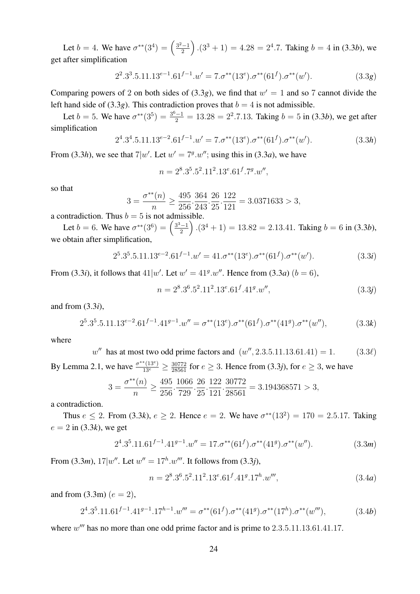Let  $b = 4$ . We have  $\sigma^{**}(3^4) = \left(\frac{3^2-1}{2}\right)$  $\left(\frac{2}{2} - 1\right)$ .  $(3^3 + 1) = 4.28 = 2^4.7$ . Taking  $b = 4$  in  $(3.3b)$ , we get after simplification

$$
2^2 \cdot 3^3 \cdot 5 \cdot 11 \cdot 13^{e-1} \cdot 61^{f-1} \cdot w' = 7 \cdot \sigma^{**} (13^e) \cdot \sigma^{**} (61^f) \cdot \sigma^{**} (w'). \tag{3.3g}
$$

Comparing powers of 2 on both sides of  $(3.3g)$ , we find that  $w' = 1$  and so 7 cannot divide the left hand side of (3.3*g*). This contradiction proves that  $b = 4$  is not admissible.

Let  $b = 5$ . We have  $\sigma^{**}(3^5) = \frac{3^6 - 1}{2} = 13.28 = 2^2.7.13$ . Taking  $b = 5$  in (3.3*b*), we get after simplification

$$
24.34.5.11.13e-2.61f-1.w' = 7.\sigma^{**}(13e).\sigma^{**}(61f).\sigma^{**}(w').
$$
\n(3.3h)

From (3.3*h*), we see that  $7|w'$ . Let  $w' = 7<sup>g</sup> \cdot w''$ ; using this in (3.3*a*), we have

$$
n = 2^8 \cdot 3^5 \cdot 5^2 \cdot 11^2 \cdot 13^e \cdot 61^f \cdot 7^g \cdot w'',
$$

so that

$$
3 = \frac{\sigma^{**}(n)}{n} \ge \frac{495}{256} \cdot \frac{364}{243} \cdot \frac{26}{25} \cdot \frac{122}{121} = 3.0371633 > 3,
$$

a contradiction. Thus  $b = 5$  is not admissible.

Let  $b = 6$ . We have  $\sigma^{**}(3^6) = \left(\frac{3^3 - 1}{2}\right)$  $\left(\frac{2}{2}\right)$ .  $(3^4 + 1) = 13.82 = 2.13.41$ . Taking  $b = 6$  in  $(3.3b)$ , we obtain after simplification,

$$
2^{5} \cdot 3^{5} \cdot 5 \cdot 11 \cdot 13^{e-2} \cdot 61^{f-1} \cdot w' = 41 \cdot \sigma^{**} (13^{e}) \cdot \sigma^{**} (61^{f}) \cdot \sigma^{**} (w'). \tag{3.3i}
$$

From (3.3*i*), it follows that  $41|w'$ . Let  $w' = 41^g w''$ . Hence from (3.3*a*)  $(b = 6)$ ,

$$
n = 28.36.52.112.13e.61f.41g.w",
$$
\n(3.3j)

and from (3.3*i*),

$$
2^5 \cdot 3^5 \cdot 5 \cdot 11 \cdot 13^{e-2} \cdot 61^{f-1} \cdot 41^{g-1} \cdot w'' = \sigma^{**}(13^e) \cdot \sigma^{**}(61^f) \cdot \sigma^{**}(41^g) \cdot \sigma^{**}(w''),\tag{3.3k}
$$

where

$$
w''
$$
 has at most two odd prime factors and  $(w'', 2.3.5.11.13.61.41) = 1.$  (3.3 $\ell$ )

By Lemma 2.1, we have  $\frac{\sigma^{**}(13^e)}{13^e} \ge \frac{30772}{28561}$  for  $e \ge 3$ . Hence from (3.3*j*), for  $e \ge 3$ , we have

$$
3 = \frac{\sigma^{**}(n)}{n} \ge \frac{495}{256} \cdot \frac{1066}{729} \cdot \frac{26}{25} \cdot \frac{122}{121} \cdot \frac{30772}{28561} = 3.194368571 > 3,
$$

a contradiction.

Thus  $e \le 2$ . From (3.3k),  $e \ge 2$ . Hence  $e = 2$ . We have  $\sigma^{**}(13^2) = 170 = 2.5.17$ . Taking  $e = 2$  in (3.3*k*), we get

$$
2^{4} \cdot 3^{5} \cdot 11 \cdot 61^{f-1} \cdot 41^{g-1} \cdot w'' = 17 \cdot \sigma^{**} (61^f) \cdot \sigma^{**} (41^g) \cdot \sigma^{**} (w''). \tag{3.3m}
$$

From (3.3*m*),  $17|w''$ . Let  $w'' = 17<sup>h</sup> \cdot w'''$ . It follows from (3.3*j*),

$$
n = 28.36.52.112.13e.61f.41g.17h.w''',
$$
\n(3.4a)

and from  $(3.3m)$   $(e = 2)$ ,

$$
2^{4} \cdot 3^{5} \cdot 11 \cdot 61^{f-1} \cdot 41^{g-1} \cdot 17^{h-1} \cdot w''' = \sigma^{**}(61^f) \cdot \sigma^{**}(41^g) \cdot \sigma^{**}(17^h) \cdot \sigma^{**}(w'''), \tag{3.4b}
$$

where  $w'''$  has no more than one odd prime factor and is prime to  $2.3.5.11.13.61.41.17$ .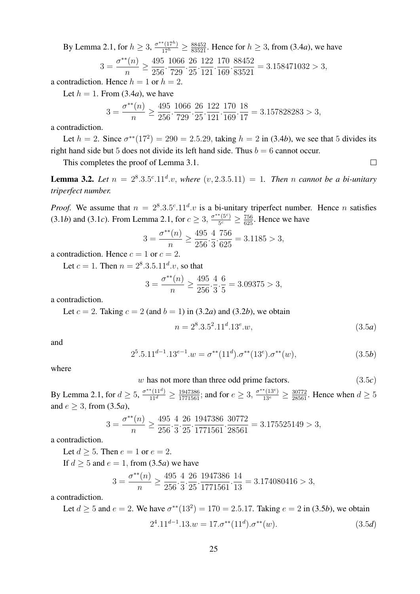By Lemma 2.1, for  $h \ge 3$ ,  $\frac{\sigma^{**}(17^h)}{17^h} \ge \frac{88452}{83521}$ . Hence for  $h \ge 3$ , from (3.4*a*), we have

$$
3 = \frac{\sigma^{**}(n)}{n} \ge \frac{495}{256} \cdot \frac{1066}{729} \cdot \frac{26}{25} \cdot \frac{122}{121} \cdot \frac{170}{169} \cdot \frac{88452}{83521} = 3.158471032 > 3,
$$

a contradiction. Hence  $h = 1$  or  $h = 2$ .  $L_{1}$   $\left( 1, \frac{1}{2} \right)$ ,  $\left( 2, 4 \right)$ 

Let 
$$
h = 1
$$
. From (3.4a), we have

$$
3 = \frac{\sigma^{**}(n)}{n} \ge \frac{495}{256} \cdot \frac{1066}{729} \cdot \frac{26}{25} \cdot \frac{122}{121} \cdot \frac{170}{169} \cdot \frac{18}{17} = 3.157828283 > 3,
$$

a contradiction.

Let  $h = 2$ . Since  $\sigma^{**}(17^2) = 290 = 2.5.29$ , taking  $h = 2$  in (3.4*b*), we see that 5 divides its right hand side but 5 does not divide its left hand side. Thus  $b = 6$  cannot occur.

This completes the proof of Lemma 3.1.

**Lemma 3.2.** Let  $n = 2^8 \cdot 3 \cdot 5^c \cdot 11^d \cdot v$ , where  $(v, 2 \cdot 3 \cdot 5 \cdot 11) = 1$ . Then *n* cannot be a bi-unitary *triperfect number.*

*Proof.* We assume that  $n = 2^8 \cdot 3 \cdot 5^c \cdot 11^d \cdot v$  is a bi-unitary triperfect number. Hence *n* satisfies  $(3.1b)$  and  $(3.1c)$ . From Lemma 2.1, for  $c \geq 3$ ,  $\frac{\sigma^{**}(5c)}{5c}$  $\frac{^{*(5c)}}{5c} \geq \frac{756}{625}$ . Hence we have

$$
3 = \frac{\sigma^{**}(n)}{n} \ge \frac{495}{256} \cdot \frac{4}{3} \cdot \frac{756}{625} = 3.1185 > 3,
$$

a contradiction. Hence  $c = 1$  or  $c = 2$ .

Let  $c = 1$ . Then  $n = 2^8 \cdot 3 \cdot 5 \cdot 11^d \cdot v$ , so that

$$
3 = \frac{\sigma^{**}(n)}{n} \ge \frac{495}{256} \cdot \frac{4}{3} \cdot \frac{6}{5} = 3.09375 > 3,
$$

a contradiction.

Let  $c = 2$ . Taking  $c = 2$  (and  $b = 1$ ) in (3.2*a*) and (3.2*b*), we obtain

$$
n = 28.3.52.11d.13e.w,
$$
\n(3.5a)

 $\Box$ 

and

$$
25.5.11d-1.13e-1.w = \sigma^{**}(11d).\sigma^{**}(13e).\sigma^{**}(w),
$$
\n(3.5b)

where

$$
w \text{ has not more than three odd prime factors.} \tag{3.5c}
$$

By Lemma 2.1, for  $d \ge 5$ ,  $\frac{\sigma^{**}(11^d)}{11^d} \ge \frac{1947386}{1771561}$ ; and for  $e \ge 3$ ,  $\frac{\sigma^{**}(13^e)}{13^e} \ge \frac{30772}{28561}$ . Hence when  $d \ge 5$ and  $e > 3$ , from (3.5*a*),

$$
3 = \frac{\sigma^{**}(n)}{n} \ge \frac{495}{256} \cdot \frac{4}{3} \cdot \frac{26}{25} \cdot \frac{1947386}{1771561} \cdot \frac{30772}{28561} = 3.175525149 > 3,
$$

a contradiction.

Let  $d > 5$ . Then  $e = 1$  or  $e = 2$ .

If  $d \geq 5$  and  $e = 1$ , from (3.5*a*) we have

$$
3 = \frac{\sigma^{**}(n)}{n} \ge \frac{495}{256} \cdot \frac{4}{3} \cdot \frac{26}{25} \cdot \frac{1947386}{1771561} \cdot \frac{14}{13} = 3.174080416 > 3,
$$

a contradiction.

Let  $d \ge 5$  and  $e = 2$ . We have  $\sigma^{**}(13^2) = 170 = 2.5.17$ . Taking  $e = 2$  in (3.5*b*), we obtain  $11\frac{1}{11}$ 

$$
24.11d-1.13.w = 17.\sigma^{**}(11d).\sigma^{**}(w).
$$
\n(3.5d)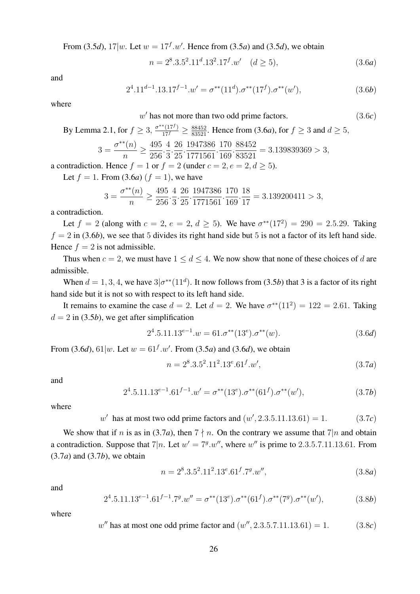From (3.5*d*),  $17|w$ . Let  $w = 17^f w'$ . Hence from (3.5*a*) and (3.5*d*), we obtain

$$
n = 28 \cdot 3.52 \cdot 11d \cdot 132 \cdot 17f \cdot w' \quad (d \ge 5),
$$
\n(3.6a)

and

$$
2^{4}.11^{d-1}.13.17^{f-1}.w' = \sigma^{**}(11^d).\sigma^{**}(17^f).\sigma^{**}(w'),\tag{3.6b}
$$

where

 $w'$  has not more than two odd prime factors.  $(3.6c)$ 

# By Lemma 2.1, for  $f \ge 3$ ,  $\frac{\sigma^{**}(17^f)}{17^f} \ge \frac{88452}{83521}$ . Hence from (3.6*a*), for  $f \ge 3$  and  $d \ge 5$ ,

$$
3 = \frac{\sigma^{**}(n)}{n} \ge \frac{495}{256} \cdot \frac{4}{3} \cdot \frac{26}{25} \cdot \frac{1947386}{1771561} \cdot \frac{170}{169} \cdot \frac{88452}{83521} = 3.139839369 > 3,
$$

a contradiction. Hence  $f = 1$  or  $f = 2$  (under  $c = 2, e = 2, d > 5$ ).

Let  $f = 1$ . From (3.6*a*) ( $f = 1$ ), we have

$$
3 = \frac{\sigma^{**}(n)}{n} \ge \frac{495}{256} \cdot \frac{4}{3} \cdot \frac{26}{25} \cdot \frac{1947386}{1771561} \cdot \frac{170}{169} \cdot \frac{18}{17} = 3.139200411 > 3,
$$

a contradiction.

Let  $f = 2$  (along with  $c = 2$ ,  $e = 2$ ,  $d \ge 5$ ). We have  $\sigma^{**}(17^2) = 290 = 2.5.29$ . Taking  $f = 2$  in (3.6*b*), we see that 5 divides its right hand side but 5 is not a factor of its left hand side. Hence  $f = 2$  is not admissible.

Thus when  $c = 2$ , we must have  $1 \le d \le 4$ . We now show that none of these choices of d are admissible.

When  $d = 1, 3, 4$ , we have  $3\sigma^{**}(11^d)$ . It now follows from (3.5*b*) that 3 is a factor of its right hand side but it is not so with respect to its left hand side.

It remains to examine the case  $d = 2$ . Let  $d = 2$ . We have  $\sigma^{**}(11^2) = 122 = 2.61$ . Taking  $d = 2$  in (3.5*b*), we get after simplification

$$
24.5.11.13e-1.w = 61. \sigma^{**}(13e). \sigma^{**}(w).
$$
\n(3.6d)

From (3.6*d*), 61 |*w*. Let  $w = 61^f w'$ . From (3.5*a*) and (3.6*d*), we obtain

$$
n = 28.3.52.112.13e.61f.w',
$$
\n(3.7a)

and

$$
2^4.5.11.13^{e-1}.61^{f-1}.w' = \sigma^{**}(13^e).\sigma^{**}(61^f).\sigma^{**}(w'),\tag{3.7b}
$$

where

 $w'$  has at most two odd prime factors and  $(w', 2.3.5.11.13.61) = 1.$  (3.7*c*)

We show that if n is as in (3.7*a*), then  $7 \nmid n$ . On the contrary we assume that  $7|n$  and obtain a contradiction. Suppose that  $7|n$ . Let  $w' = 7<sup>g</sup> w''$ , where w'' is prime to 2.3.5.7.11.13.61. From (3.7*a*) and (3.7*b*), we obtain

$$
n = 28 \cdot 3.52 \cdot 112 \cdot 13e \cdot 61f \cdot 7g \cdot w'', \tag{3.8a}
$$

and

$$
2^4 \cdot 5.11 \cdot 13^{e-1} \cdot 61^{f-1} \cdot 7^g \cdot w'' = \sigma^{**}(13^e) \cdot \sigma^{**}(61^f) \cdot \sigma^{**}(7^g) \cdot \sigma^{**}(w'),\tag{3.8b}
$$

where

 $w''$  has at most one odd prime factor and  $(w'', 2.3.5.7.11.13.61) = 1.$  (3.8*c*)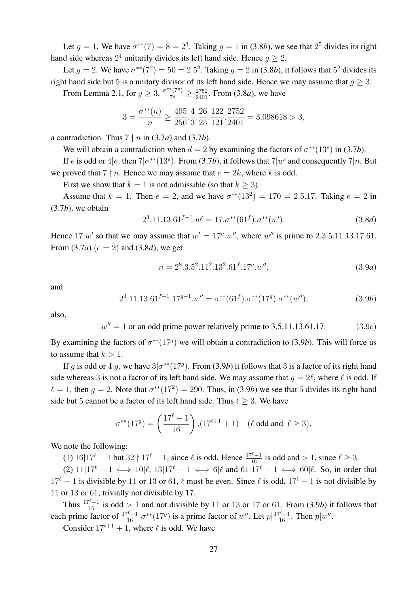Let  $g = 1$ . We have  $\sigma^{**}(7) = 8 = 2^3$ . Taking  $g = 1$  in (3.8*b*), we see that  $2^5$  divides its right hand side whereas  $2^4$  unitarily divides its left hand side. Hence  $g \geq 2$ .

Let  $g = 2$ . We have  $\sigma^{**}(7^2) = 50 = 2.5^2$ . Taking  $g = 2$  in (3.8*b*), it follows that  $5^2$  divides its right hand side but 5 is a unitary divisor of its left hand side. Hence we may assume that  $q \geq 3$ . From Lemma 2.1, for  $g \geq 3$ ,  $\frac{\sigma^{**}(7g)}{7g}$ 

 $\frac{\binom{*}(79)}{79} \ge \frac{2752}{2401}$ . From (3.8*a*), we have

$$
3=\frac{\sigma^{**}(n)}{n}\geq \frac{495}{256}\cdot \frac{4}{3}\cdot \frac{26}{25}\cdot \frac{122}{121}\cdot \frac{2752}{2401}=3.098618>3,
$$

a contradiction. Thus  $7 \nmid n$  in (3.7*a*) and (3.7*b*).

We will obtain a contradiction when  $d = 2$  by examining the factors of  $\sigma^{**}(13^e)$  in (3.7*b*).

If e is odd or  $4|e$ , then  $7|\sigma^{**}(13e)$ . From (3.7*b*), it follows that  $7|w'$  and consequently  $7|n$ . But we proved that  $7 \nmid n$ . Hence we may assume that  $e = 2k$ , where k is odd.

First we show that  $k = 1$  is not admissible (so that  $k > 3$ ).

Assume that  $k = 1$ . Then  $e = 2$ , and we have  $\sigma^{**}(13^2) = 170 = 2.5.17$ . Taking  $e = 2$  in (3.7*b*), we obtain

$$
2^{3}.11.13.61^{f-1}.w' = 17.\sigma^{**}(61^f).\sigma^{**}(w').
$$
\n(3.8d)

Hence  $17|w'$  so that we may assume that  $w' = 17<sup>g</sup> w''$ , where w'' is prime to 2.3.5.11.13.17.61. From  $(3.7a)$   $(e = 2)$  and  $(3.8d)$ , we get

$$
n = 28.3.52.112.132.61f.17g.w",
$$
\n(3.9a)

and

$$
2^3.11.13.61^{f-1}.17^{g-1}.w'' = \sigma^{**}(61^f).\sigma^{**}(17^g).\sigma^{**}(w'');
$$
 (3.9b)

also,

 $w'' = 1$  or an odd prime power relatively prime to 3.5.11.13.61.17. (3.9*c*)

By examining the factors of  $\sigma^{**}(179)$  we will obtain a contradiction to (3.9*b*). This will force us to assume that  $k > 1$ .

If g is odd or  $4|g$ , we have  $3|\sigma^{**}(179)$ . From (3.9*b*) it follows that 3 is a factor of its right hand side whereas 3 is not a factor of its left hand side. We may assume that  $g = 2\ell$ , where  $\ell$  is odd. If  $\ell = 1$ , then  $g = 2$ . Note that  $\sigma^{**}(17^2) = 290$ . Thus, in (3.9*b*) we see that 5 divides its right hand side but 5 cannot be a factor of its left hand side. Thus  $\ell \geq 3$ . We have

$$
\sigma^{**}(17^g) = \left(\frac{17^{\ell}-1}{16}\right) \cdot (17^{\ell+1}+1) \quad (\ell \text{ odd and } \ell \ge 3).
$$

We note the following:

(1)  $16|17^{\ell} - 1$  but  $32 \nmid 17^{\ell} - 1$ , since  $\ell$  is odd. Hence  $\frac{17^{\ell} - 1}{16}$  is odd and  $> 1$ , since  $\ell \ge 3$ .

(2)  $11|17^\ell - 1 \iff 10|\ell; 13|17^\ell - 1 \iff 6|\ell \text{ and } 61|17^\ell - 1 \iff 60|\ell.$  So, in order that  $17<sup>\ell</sup> - 1$  is divisible by 11 or 13 or 61,  $\ell$  must be even. Since  $\ell$  is odd,  $17<sup>\ell</sup> - 1$  is not divisible by 11 or 13 or 61; trivially not divisible by 17.

Thus  $\frac{17^{\ell}-1}{16}$  is odd > 1 and not divisible by 11 or 13 or 17 or 61. From (3.9*b*) it follows that each prime factor of  $\frac{17^\ell-1}{16} | \sigma^{**}(17^g)$  is a prime factor of w''. Let  $p | \frac{17^\ell-1}{16}$ . Then  $p | w''$ .

Consider  $17^{\ell+1} + 1$ , where  $\ell$  is odd. We have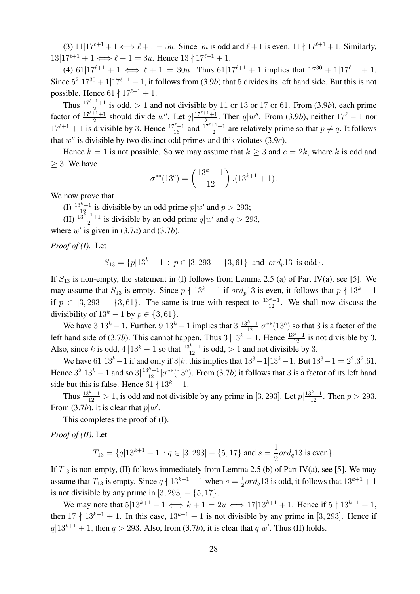(3)  $11|17^{\ell+1} + 1 \iff \ell + 1 = 5u$ . Since  $5u$  is odd and  $\ell + 1$  is even,  $11 \nmid 17^{\ell+1} + 1$ . Similarly,  $13|17^{\ell+1} + 1 \Longleftrightarrow \ell + 1 = 3u$ . Hence  $13 \nmid 17^{\ell+1} + 1$ .

(4)  $61|17^{\ell+1} + 1 \iff \ell + 1 = 30u$ . Thus  $61|17^{\ell+1} + 1$  implies that  $17^{30} + 1|17^{\ell+1} + 1$ . Since  $5^2|17^{30} + 1|17^{\ell+1} + 1$ , it follows from (3.9*b*) that 5 divides its left hand side. But this is not possible. Hence  $61 \nmid 17^{\ell+1} + 1$ .

Thus  $\frac{17^{e+1}+1}{2}$  is odd, > 1 and not divisible by 11 or 13 or 17 or 61. From (3.9*b*), each prime factor of  $\frac{17^{l+1}+1}{2}$  should divide w''. Let  $q\left|\frac{17^{l+1}+1}{2}\right|$  $\frac{q|w''|}{q}$ . Then  $q|w''$ . From (3.9*b*), neither  $17^\ell - 1$  nor  $17^{\ell+1} + 1$  is divisible by 3. Hence  $\frac{17^{\ell}-1}{16}$  and  $\frac{17^{\ell+1}+1}{2}$  are relatively prime so that  $p \neq q$ . It follows that  $w''$  is divisible by two distinct odd primes and this violates  $(3.9c)$ .

Hence  $k = 1$  is not possible. So we may assume that  $k \geq 3$  and  $e = 2k$ , where k is odd and  $\geq$  3. We have

$$
\sigma^{**}(13^e) = \left(\frac{13^k - 1}{12}\right) \cdot (13^{k+1} + 1).
$$

We now prove that

(I)  $\frac{13^{k}-1}{12}$  is divisible by an odd prime  $p|w'$  and  $p > 293$ ;

(II)  $\frac{13^{k+1}+1}{2}$  is divisible by an odd prime  $q|w'$  and  $q > 293$ ,

where  $w'$  is given in  $(3.7a)$  and  $(3.7b)$ .

*Proof of (I).* Let

 $S_{13} = \{p|13^k - 1 : p \in [3, 293] - \{3, 61\} \text{ and } ord_p 13 \text{ is odd}\}.$ 

If  $S_{13}$  is non-empty, the statement in (I) follows from Lemma 2.5 (a) of Part IV(a), see [5]. We may assume that  $S_{13}$  is empty. Since  $p \nmid 13^k - 1$  if  $\text{ord}_p13$  is even, it follows that  $p \nmid 13^k - 1$ if  $p \in [3, 293] - \{3, 61\}$ . The same is true with respect to  $\frac{13^{k}-1}{12}$ . We shall now discuss the divisibility of  $13<sup>k</sup> - 1$  by  $p \in \{3, 61\}.$ 

We have  $3|13^k - 1$ . Further,  $9|13^k - 1$  implies that  $3|\frac{13^k - 1}{12}| \sigma^{**}(13^e)$  so that 3 is a factor of the left hand side of (3.7*b*). This cannot happen. Thus  $3||13^k - 1$ . Hence  $\frac{13^k - 1}{12}$  is not divisible by 3. Also, since k is odd,  $4||13^k - 1$  so that  $\frac{13^{k}-1}{12}$  is odd, > 1 and not divisible by 3.

We have  $61|13^k - 1$  if and only if  $3|k$ ; this implies that  $13^3 - 1|13^k - 1$ . But  $13^3 - 1 = 2^2 \cdot 3^2 \cdot 61$ . Hence  $3^2|13^k-1$  and so  $3|\frac{13^k-1}{12}|\sigma^{**}(13^e)$ . From (3.7*b*) it follows that 3 is a factor of its left hand side but this is false. Hence  $61 \nmid 13^k - 1$ .

Thus  $\frac{13^k-1}{12} > 1$ , is odd and not divisible by any prime in [3, 293]. Let  $p\left| \frac{13^k-1}{12} \right|$ . Then  $p > 293$ . From (3.7*b*), it is clear that  $p|w'$ .

This completes the proof of (I).

*Proof of (II).* Let

$$
T_{13} = \{q|13^{k+1} + 1 : q \in [3, 293] - \{5, 17\} \text{ and } s = \frac{1}{2}ord_q 13 \text{ is even}\}.
$$

If  $T_{13}$  is non-empty, (II) follows immediately from Lemma 2.5 (b) of Part IV(a), see [5]. We may assume that  $T_{13}$  is empty. Since  $q \nmid 13^{k+1} + 1$  when  $s = \frac{1}{2}$  $\frac{1}{2}ord_q 13$  is odd, it follows that  $13^{k+1} + 1$ is not divisible by any prime in  $[3, 293] - \{5, 17\}.$ 

We may note that  $5|13^{k+1} + 1 \iff k+1 = 2u \iff 17|13^{k+1} + 1$ . Hence if  $5 \nmid 13^{k+1} + 1$ , then  $17 \nmid 13^{k+1} + 1$ . In this case,  $13^{k+1} + 1$  is not divisible by any prime in [3, 293]. Hence if  $q|13^{k+1}+1$ , then  $q>293$ . Also, from (3.7*b*), it is clear that  $q|w'$ . Thus (II) holds.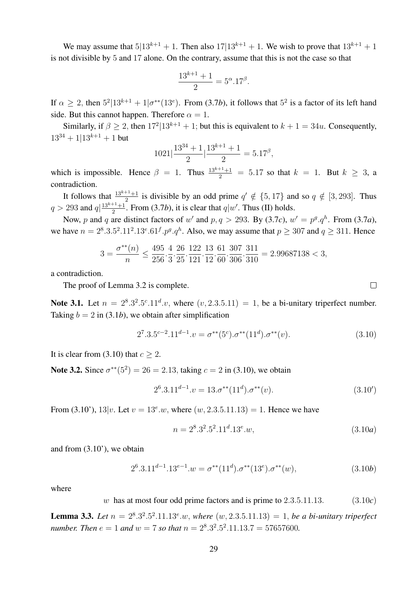We may assume that  $5|13^{k+1} + 1$ . Then also  $17|13^{k+1} + 1$ . We wish to prove that  $13^{k+1} + 1$ is not divisible by 5 and 17 alone. On the contrary, assume that this is not the case so that

$$
\frac{13^{k+1} + 1}{2} = 5^{\alpha}.17^{\beta}.
$$

If  $\alpha \geq 2$ , then  $5^2|13^{k+1} + 1|\sigma^{**}(13^e)$ . From (3.7*b*), it follows that  $5^2$  is a factor of its left hand side. But this cannot happen. Therefore  $\alpha = 1$ .

Similarly, if  $\beta \geq 2$ , then  $17^{2}|13^{k+1} + 1$ ; but this is equivalent to  $k + 1 = 34u$ . Consequently,  $13^{34} + 113^{k+1} + 1$  but

$$
1021\left|\frac{13^{34} + 1}{2}\right|\frac{13^{k+1} + 1}{2} = 5.17^{\beta},
$$

which is impossible. Hence  $\beta = 1$ . Thus  $\frac{13^{k+1}+1}{2} = 5.17$  so that  $k = 1$ . But  $k \ge 3$ , a contradiction.

It follows that  $\frac{13^{k+1}+1}{2}$  is divisible by an odd prime  $q' \notin \{5, 17\}$  and so  $q \notin [3, 293]$ . Thus  $q > 293$  and  $q \mid \frac{13^{k+1}+1}{2}$  $\frac{1}{2}$ . From (3.7*b*), it is clear that  $q|w'$ . Thus (II) holds.

Now, p and q are distinct factors of w' and  $p, q > 293$ . By (3.7*c*),  $w' = p^g \cdot q^h$ . From (3.7*a*), we have  $n = 2^8 \cdot 3 \cdot 5^2 \cdot 11^2 \cdot 13^e \cdot 61^f \cdot p^g \cdot q^h$ . Also, we may assume that  $p \geq 307$  and  $q \geq 311$ . Hence

$$
3=\frac{\sigma^{**}(n)}{n}\leq \frac{495}{256}\cdot \frac{4}{3}\cdot \frac{26}{25}\cdot \frac{122}{121}\cdot \frac{13}{12}\cdot \frac{61}{60}\cdot \frac{307}{306}\cdot \frac{311}{310}=2.99687138<3,
$$

a contradiction.

The proof of Lemma 3.2 is complete.

Note 3.1. Let  $n = 2^8 \cdot 3^2 \cdot 5^c \cdot 11^d \cdot v$ , where  $(v, 2 \cdot 3 \cdot 5 \cdot 11) = 1$ , be a bi-unitary triperfect number. Taking  $b = 2$  in (3.1*b*), we obtain after simplification

$$
27.3.5c-2.11d-1.v = \sigma^{**}(5c).\sigma^{**}(11d).\sigma^{**}(v).
$$
\n(3.10)

It is clear from (3.10) that  $c > 2$ .

**Note 3.2.** Since  $\sigma^{**}(5^2) = 26 = 2.13$ , taking  $c = 2$  in (3.10), we obtain

$$
2^{6}.3.11^{d-1}.v = 13.\sigma^{**}(11^d).\sigma^{**}(v). \tag{3.10'}
$$

From (3.10'),  $13|v$ . Let  $v = 13^e w$ , where  $(w, 2.3.5.11.13) = 1$ . Hence we have

$$
n = 28.32.52.11d.13e.w,
$$
\n(3.10*a*)

and from (3.10'), we obtain

$$
2^{6}.3.11^{d-1}.13^{e-1}.w = \sigma^{**}(11^d).\sigma^{**}(13^e).\sigma^{**}(w), \qquad (3.10b)
$$

where

w has at most four odd prime factors and is prime to 2.3.5.11.13. (3.10*c*)

**Lemma 3.3.** Let  $n = 2^8 \cdot 3^2 \cdot 5^2 \cdot 11 \cdot 13^e \cdot w$ , where  $(w, 2 \cdot 3 \cdot 5 \cdot 11 \cdot 13) = 1$ , be a bi-unitary triperfect *number. Then*  $e = 1$  *and*  $w = 7$  *so that*  $n = 2<sup>8</sup> \cdot 3<sup>2</sup> \cdot 5<sup>2</sup> \cdot 11 \cdot 13 \cdot 7 = 57657600$ .

 $\Box$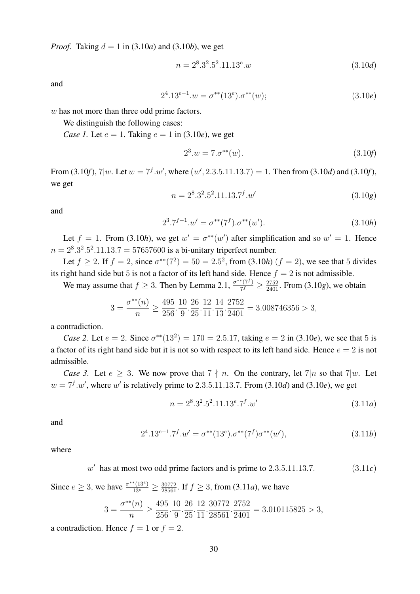*Proof.* Taking  $d = 1$  in (3.10*a*) and (3.10*b*), we get

$$
n = 28.32.52.11.13e.w
$$
\n(3.10*d*)

and

$$
24.13e-1.w = \sigma^{**}(13e).\sigma^{**}(w);
$$
\n(3.10e)

w has not more than three odd prime factors.

We distinguish the following cases:

*Case 1.* Let  $e = 1$ . Taking  $e = 1$  in (3.10*e*), we get

$$
2^3.w = 7.\sigma^{**}(w). \tag{3.10f}
$$

From (3.10*f*),  $7|w$ . Let  $w = 7^f w'$ , where  $(w', 2.3.5.11.13.7) = 1$ . Then from (3.10*d*) and (3.10*f*), we get

$$
n = 28.32.52.11.13.7f.w'
$$
 (3.10g)

and

$$
2^{3} \tcdot 7^{f-1} \tcdot w' = \sigma^{**}(7^f) \tcdot \sigma^{**}(w'). \tag{3.10h}
$$

Let  $f = 1$ . From (3.10*h*), we get  $w' = \sigma^{**}(w')$  after simplification and so  $w' = 1$ . Hence  $n = 2^8 \cdot 3^2 \cdot 5^2 \cdot 11 \cdot 13 \cdot 7 = 57657600$  is a bi-unitary triperfect number.

Let  $f \ge 2$ . If  $f = 2$ , since  $\sigma^{**}(7^2) = 50 = 2.5^2$ , from (3.10*h*)  $(f = 2)$ , we see that 5 divides its right hand side but 5 is not a factor of its left hand side. Hence  $f = 2$  is not admissible.

We may assume that  $f \geq 3$ . Then by Lemma 2.1,  $\frac{\sigma^{**}(7)}{7f}$  $\frac{\binom{*}{7}}{7^f} \geq \frac{2752}{2401}$ . From (3.10*g*), we obtain

$$
3 = \frac{\sigma^{**}(n)}{n} \ge \frac{495}{256} \cdot \frac{10}{9} \cdot \frac{26}{25} \cdot \frac{12}{11} \cdot \frac{14}{13} \cdot \frac{2752}{2401} = 3.008746356 > 3,
$$

a contradiction.

*Case 2.* Let  $e = 2$ . Since  $\sigma^{**}(13^2) = 170 = 2.5.17$ , taking  $e = 2$  in (3.10*e*), we see that 5 is a factor of its right hand side but it is not so with respect to its left hand side. Hence  $e = 2$  is not admissible.

*Case 3.* Let  $e \geq 3$ . We now prove that  $7 \nmid n$ . On the contrary, let  $7|n$  so that  $7|w$ . Let  $w = 7<sup>f</sup> w'$ , where w' is relatively prime to 2.3.5.11.13.7. From (3.10*d*) and (3.10*e*), we get

$$
n = 28.32.52.11.13e.7f.w'
$$
\n(3.11*a*)

and

$$
2^{4}.13^{e-1}.7^{f}.w' = \sigma^{**}(13^{e}).\sigma^{**}(7^{f})\sigma^{**}(w'), \qquad (3.11b)
$$

where

$$
w' \text{ has at most two odd prime factors and is prime to } 2.3.5.11.13.7. \tag{3.11c}
$$

Since  $e \ge 3$ , we have  $\frac{\sigma^{**}(13^e)}{13^e} \ge \frac{30772}{28561}$ . If  $f \ge 3$ , from (3.11*a*), we have

$$
3 = \frac{\sigma^{**}(n)}{n} \ge \frac{495}{256} \cdot \frac{10}{9} \cdot \frac{26}{25} \cdot \frac{12}{11} \cdot \frac{30772}{28561} \cdot \frac{2752}{2401} = 3.010115825 > 3,
$$

a contradiction. Hence  $f = 1$  or  $f = 2$ .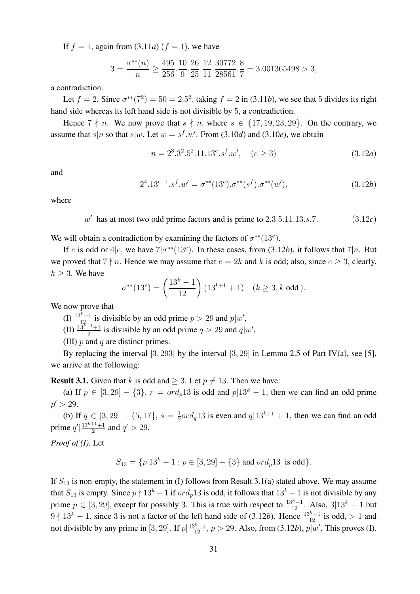If  $f = 1$ , again from (3.11*a*)  $(f = 1)$ , we have

$$
3 = \frac{\sigma^{**}(n)}{n} \ge \frac{495}{256} \cdot \frac{10}{9} \cdot \frac{26}{25} \cdot \frac{12}{11} \cdot \frac{30772}{28561} \cdot \frac{8}{7} = 3.001365498 > 3,
$$

a contradiction.

Let  $f = 2$ . Since  $\sigma^{**}(7^2) = 50 = 2.5^2$ , taking  $f = 2$  in (3.11*b*), we see that 5 divides its right hand side whereas its left hand side is not divisible by 5, a contradiction.

Hence  $7 \nmid n$ . We now prove that  $s \nmid n$ , where  $s \in \{17, 19, 23, 29\}$ . On the contrary, we assume that  $s|n$  so that  $s|w$ . Let  $w = s<sup>f</sup> \cdot w'$ . From (3.10*d*) and (3.10*e*), we obtain

$$
n = 28.32.52.11.13e.sf.w', \quad (e \ge 3)
$$
\n(3.12a)

and

$$
2^{4}.13^{e-1}.s^{f}.w' = \sigma^{**}(13^{e}).\sigma^{**}(s^{f}).\sigma^{**}(w'),
$$
\n(3.12b)

where

 $w'$  has at most two odd prime factors and is prime to  $2.3.5.11.13.s.7.$  (3.12*c*)

We will obtain a contradiction by examining the factors of  $\sigma^{**}(13^e)$ .

If e is odd or  $4|e$ , we have  $7|\sigma^{**}(13e)$ . In these cases, from (3.12*b*), it follows that  $7|n$ . But we proved that  $7 \nmid n$ . Hence we may assume that  $e = 2k$  and k is odd; also, since  $e \geq 3$ , clearly,  $k \geq 3$ . We have

$$
\sigma^{**}(13^e) = \left(\frac{13^k - 1}{12}\right)(13^{k+1} + 1) \quad (k \ge 3, k \text{ odd}).
$$

We now prove that

(I)  $\frac{13^{k}-1}{12}$  is divisible by an odd prime  $p > 29$  and  $p|w'$ ,

(II)  $\frac{13^{k+1}+1}{2}$  is divisible by an odd prime  $q > 29$  and  $q|w'$ ,

(III)  $p$  and  $q$  are distinct primes.

By replacing the interval  $[3, 293]$  by the interval  $[3, 29]$  in Lemma 2.5 of Part IV(a), see [5], we arrive at the following:

**Result 3.1.** Given that k is odd and  $\geq 3$ . Let  $p \neq 13$ . Then we have:

(a) If  $p \in [3, 29] - \{3\}$ ,  $r = \text{ord}_p 13$  is odd and  $p|13^k - 1$ , then we can find an odd prime  $p' > 29$ .

(b) If  $q \in [3, 29] - \{5, 17\}, s = \frac{1}{2}$  $\frac{1}{2}$ ord<sub>q</sub>13 is even and  $q$ |13<sup>k+1</sup> + 1, then we can find an odd prime  $q' \big| \frac{13^{k+1}+1}{2}$  $\frac{q+1}{2}$  and  $q' > 29$ .

*Proof of (I).* Let

$$
S_{13} = \{p|13^k - 1 : p \in [3, 29] - \{3\} \text{ and } ord_p 13 \text{ is odd}\}.
$$

If  $S_{13}$  is non-empty, the statement in (I) follows from Result 3.1(a) stated above. We may assume that  $S_{13}$  is empty. Since  $p \nmid 13^k - 1$  if  $\text{ord}_p13$  is odd, it follows that  $13^k - 1$  is not divisible by any prime  $p \in [3, 29]$ , except for possibly 3. This is true with respect to  $\frac{13^k - 1}{12}$ . Also, 3|13<sup>k</sup> – 1 but  $9 \nmid 13<sup>k</sup> - 1$ , since 3 is not a factor of the left hand side of (3.12*b*). Hence  $\frac{13<sup>k</sup> - 1}{12}$  is odd, > 1 and not divisible by any prime in [3, 29]. If  $p\left|\frac{13^{k}-1}{12}, p > 29$ . Also, from (3.12*b*),  $p|w'$ . This proves (I).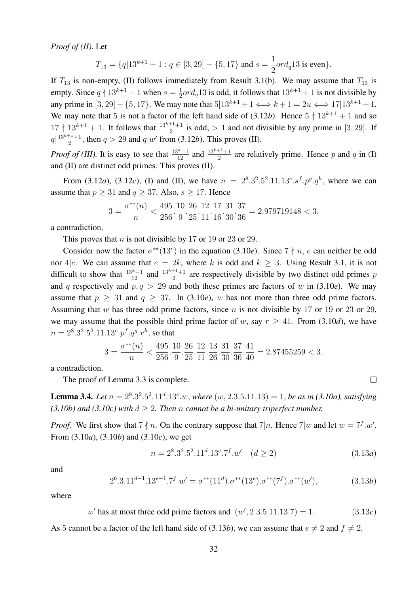*Proof of (II).* Let

$$
T_{13} = \{q|13^{k+1} + 1 : q \in [3, 29] - \{5, 17\} \text{ and } s = \frac{1}{2}ord_q 13 \text{ is even}\}.
$$

If  $T_{13}$  is non-empty, (II) follows immediately from Result 3.1(b). We may assume that  $T_{13}$  is empty. Since  $q \nmid 13^{k+1} + 1$  when  $s = \frac{1}{2}$  $\frac{1}{2}ord_q 13$  is odd, it follows that  $13^{k+1} + 1$  is not divisible by any prime in [3, 29] – {5, 17}. We may note that  $5|13^{k+1} + 1 \Longleftrightarrow k+1 = 2u \Longleftrightarrow 17|13^{k+1} + 1$ . We may note that 5 is not a factor of the left hand side of  $(3.12b)$ . Hence  $5 \nmid 13^{k+1} + 1$  and so  $17 \nmid 13^{k+1} + 1$ . It follows that  $\frac{13^{k+1}+1}{2}$  is odd, > 1 and not divisible by any prime in [3, 29]. If  $q\left|\frac{13^{k+1}+1}{2}\right|$  $\frac{q+1}{2}$ , then  $q > 29$  and  $q|w'$  from (3.12*b*). This proves (II).

*Proof of (III).* It is easy to see that  $\frac{13^{k}-1}{12}$  and  $\frac{13^{k+1}+1}{2}$  are relatively prime. Hence p and q in (I) and (II) are distinct odd primes. This proves (II).

From (3.12*a*), (3.12*c*), (I) and (II), we have  $n = 2^8 \cdot 3^2 \cdot 5^2 \cdot 11 \cdot 13^e \cdot 5^f \cdot p^g \cdot q^h$ , where we can assume that  $p \ge 31$  and  $q \ge 37$ . Also,  $s \ge 17$ . Hence

$$
3=\frac{\sigma^{**}(n)}{n}<\frac{495}{256}\cdot\frac{10}{9}\cdot\frac{26}{25}\cdot\frac{12}{11}\cdot\frac{17}{16}\cdot\frac{31}{30}\cdot\frac{37}{36}=2.979719148<3,
$$

a contradiction.

This proves that *n* is not divisible by 17 or 19 or 23 or 29.

Consider now the factor  $\sigma^{**}(13^e)$  in the equation (3.10*e*). Since  $7 \nmid n, e$  can neither be odd nor 4|e. We can assume that  $e = 2k$ , where k is odd and  $k \ge 3$ . Using Result 3.1, it is not difficult to show that  $\frac{13^{k}-1}{12}$  and  $\frac{13^{k+1}+1}{2}$  are respectively divisible by two distinct odd primes p and q respectively and  $p, q > 29$  and both these primes are factors of w in (3.10*e*). We may assume that  $p \geq 31$  and  $q \geq 37$ . In (3.10*e*), w has not more than three odd prime factors. Assuming that w has three odd prime factors, since  $n$  is not divisible by 17 or 19 or 23 or 29, we may assume that the possible third prime factor of w, say  $r \geq 41$ . From (3.10*d*), we have  $n = 2^8 \cdot 3^2 \cdot 5^2 \cdot 11 \cdot 13^e \cdot p^f \cdot q^g \cdot r^h$ , so that

$$
3=\frac{\sigma^{**}(n)}{n}<\frac{495}{256}\cdot\frac{10}{9}\cdot\frac{26}{25}\cdot\frac{12}{11}\cdot\frac{13}{26}\cdot\frac{31}{30}\cdot\frac{37}{36}\cdot\frac{41}{40}=2.87455259<3,
$$

a contradiction.

The proof of Lemma 3.3 is complete.

**Lemma 3.4.** *Let*  $n = 2^8 \cdot 3^2 \cdot 5^2 \cdot 11^d \cdot 13^e \cdot w$ , *where*  $(w, 2 \cdot 3 \cdot 5 \cdot 11 \cdot 13) = 1$ , *be as in (3.10a), satisfying (3.10b)* and *(3.10c)* with  $d > 2$ . Then *n* cannot be a bi-unitary triperfect number.

*Proof.* We first show that  $7 \nmid n$ . On the contrary suppose that  $7 \mid n$ . Hence  $7 \mid w$  and let  $w = 7^f \cdot w'$ . From (3.10*a*), (3.10*b*) and (3.10*c*), we get

$$
n = 28.32.52.11d.13e.7f.w' \quad (d \ge 2)
$$
\n(3.13a)

and

$$
2^{6}.3.11^{d-1}.13^{e-1}.7^{f}.w' = \sigma^{**}(11^d).\sigma^{**}(13^e).\sigma^{**}(7^f).\sigma^{**}(w'),\tag{3.13b}
$$

where

 $w'$  has at most three odd prime factors and  $(w', 2.3.5.11.13.7) = 1.$  (3.13*c*)

As 5 cannot be a factor of the left hand side of (3.13*b*), we can assume that  $e \neq 2$  and  $f \neq 2$ .

 $\Box$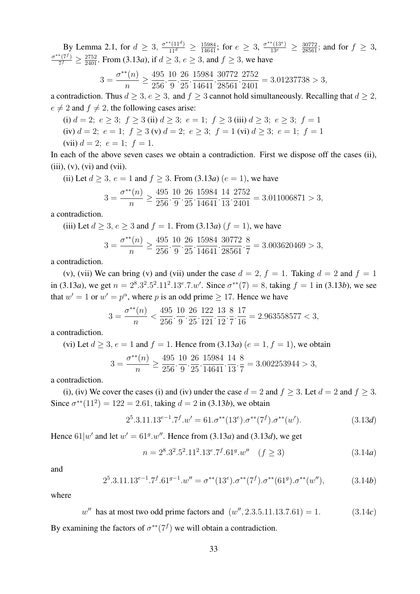By Lemma 2.1, for  $d \geq 3$ ,  $\frac{\sigma^{**}(11^d)}{11^d} \geq \frac{15984}{14641}$ ; for  $e \geq 3$ ,  $\frac{\sigma^{**}(13^e)}{13^e} \geq \frac{30772}{28561}$ ; and for  $f \geq 3$ ,  $\sigma^{**}(7^f)$  $\frac{\pi^{(7)}}{7^f} \geq \frac{2752}{2401}$ . From (3.13*a*), if  $d \geq 3$ ,  $e \geq 3$ , and  $f \geq 3$ , we have

$$
3 = \frac{\sigma^{**}(n)}{n} \ge \frac{495}{256} \cdot \frac{10}{9} \cdot \frac{26}{25} \cdot \frac{15984}{14641} \cdot \frac{30772}{28561} \cdot \frac{2752}{2401} = 3.01237738 > 3,
$$

a contradiction. Thus  $d > 3$ ,  $e > 3$ , and  $f > 3$  cannot hold simultaneously. Recalling that  $d > 2$ ,  $e \neq 2$  and  $f \neq 2$ , the following cases arise:

- (i)  $d = 2$ ;  $e > 3$ ;  $f > 3$  (ii)  $d > 3$ ;  $e = 1$ ;  $f > 3$  (iii)  $d > 3$ ;  $e > 3$ ;  $f = 1$
- (iv)  $d = 2$ ;  $e = 1$ ;  $f \ge 3$  (v)  $d = 2$ ;  $e \ge 3$ ;  $f = 1$  (vi)  $d \ge 3$ ;  $e = 1$ ;  $f = 1$

(vii) 
$$
d = 2
$$
;  $e = 1$ ;  $f = 1$ .

In each of the above seven cases we obtain a contradiction. First we dispose off the cases (ii),  $(iii)$ ,  $(v)$ ,  $(vi)$  and  $(vii)$ .

(ii) Let  $d \ge 3$ ,  $e = 1$  and  $f \ge 3$ . From (3.13*a*)  $(e = 1)$ , we have

$$
3 = \frac{\sigma^{**}(n)}{n} \ge \frac{495}{256} \cdot \frac{10}{9} \cdot \frac{26}{25} \cdot \frac{15984}{14641} \cdot \frac{14}{13} \cdot \frac{2752}{2401} = 3.011006871 > 3,
$$

a contradiction.

(iii) Let  $d \ge 3$ ,  $e \ge 3$  and  $f = 1$ . From (3.13*a*)  $(f = 1)$ , we have

$$
3 = \frac{\sigma^{**}(n)}{n} \ge \frac{495}{256} \cdot \frac{10}{9} \cdot \frac{26}{25} \cdot \frac{15984}{14641} \cdot \frac{30772}{28561} \cdot \frac{8}{7} = 3.003620469 > 3,
$$

a contradiction.

(v), (vii) We can bring (v) and (vii) under the case  $d = 2$ ,  $f = 1$ . Taking  $d = 2$  and  $f = 1$ in (3.13*a*), we get  $n = 2^8 \cdot 3^2 \cdot 5^2 \cdot 11^2 \cdot 13^e \cdot 7 \cdot w'$ . Since  $\sigma^{**}(7) = 8$ , taking  $f = 1$  in (3.13*b*), we see that  $w' = 1$  or  $w' = p^{\alpha}$ , where p is an odd prime  $\geq 17$ . Hence we have

$$
3 = \frac{\sigma^{**}(n)}{n} < \frac{495}{256} \cdot \frac{10}{9} \cdot \frac{26}{25} \cdot \frac{122}{121} \cdot \frac{13}{12} \cdot \frac{8}{7} \cdot \frac{17}{16} = 2.963558577 < 3,
$$

a contradiction.

(vi) Let 
$$
d \ge 3
$$
,  $e = 1$  and  $f = 1$ . Hence from (3.13*a*) ( $e = 1$ ,  $f = 1$ ), we obtain

$$
3 = \frac{\sigma^{**}(n)}{n} \ge \frac{495}{256} \cdot \frac{10}{9} \cdot \frac{26}{25} \cdot \frac{15984}{14641} \cdot \frac{14}{13} \cdot \frac{8}{7} = 3.002253944 > 3,
$$

a contradiction.

(i), (iv) We cover the cases (i) and (iv) under the case  $d = 2$  and  $f \ge 3$ . Let  $d = 2$  and  $f \ge 3$ . Since  $\sigma^{**}(11^2) = 122 = 2.61$ , taking  $d = 2$  in (3.13*b*), we obtain

$$
2^5 \cdot 3.11 \cdot 13^{e-1} \cdot 7^f \cdot w' = 61 \cdot \sigma^{**}(13^e) \cdot \sigma^{**}(7^f) \cdot \sigma^{**}(w'). \tag{3.13d}
$$

Hence  $61|w'$  and let  $w' = 61^g w''$ . Hence from  $(3.13a)$  and  $(3.13d)$ , we get

$$
n = 28.32.52.112.13e.7f.61g.w'' \quad (f \ge 3)
$$
 (3.14a)

and

$$
2^5 \cdot 3.11 \cdot 13^{e-1} \cdot 7^f \cdot 61^{g-1} \cdot w'' = \sigma^{**}(13^e) \cdot \sigma^{**}(7^f) \cdot \sigma^{**}(61^g) \cdot \sigma^{**}(w''),\tag{3.14b}
$$

where

 $w''$  has at most two odd prime factors and  $(w'', 2.3.5.11.13.7.61) = 1.$  (3.14*c*)

By examining the factors of  $\sigma^{**}(7^f)$  we will obtain a contradiction.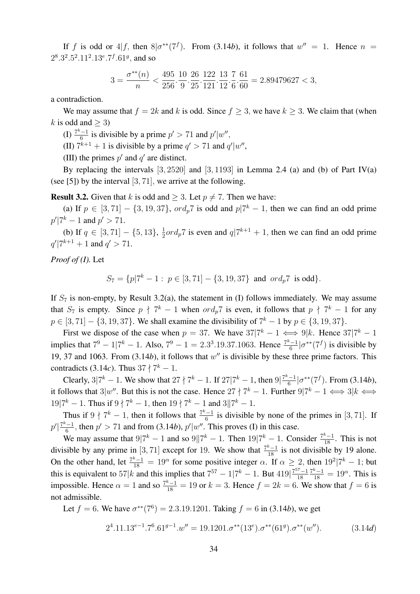If f is odd or  $4|f$ , then  $8|\sigma^{**}(7^f)$ . From (3.14*b*), it follows that  $w'' = 1$ . Hence  $n =$  $2^8.3^2.5^2.11^2.13^e.7^f.61^g$ , and so

$$
3=\frac{\sigma^{**}(n)}{n}<\frac{495}{256}\cdot\frac{10}{9}\cdot\frac{26}{25}\cdot\frac{122}{121}\cdot\frac{13}{12}\cdot\frac{7}{6}\cdot\frac{61}{60}=2.89479627<3,
$$

a contradiction.

We may assume that  $f = 2k$  and k is odd. Since  $f \ge 3$ , we have  $k \ge 3$ . We claim that (when k is odd and  $>$  3)

 $\frac{7^k-1}{6}$  $\frac{(-1)}{6}$  is divisible by a prime  $p' > 71$  and  $p'|w''$ ,

(II)  $7^{k+1} + 1$  is divisible by a prime  $q' > 71$  and  $q'|w''$ ,

(III) the primes  $p'$  and  $q'$  are distinct.

By replacing the intervals  $[3, 2520]$  and  $[3, 1193]$  in Lemma 2.4 (a) and (b) of Part IV(a) (see [5]) by the interval [3, 71], we arrive at the following.

**Result 3.2.** Given that k is odd and  $> 3$ . Let  $p \neq 7$ . Then we have:

(a) If  $p \in [3, 71] - \{3, 19, 37\}$ ,  $\text{ord}_p 7$  is odd and  $p | 7^k - 1$ , then we can find an odd prime  $p'|7^k - 1$  and  $p' > 71$ .

(b) If  $q \in [3, 71] - \{5, 13\}, \frac{1}{2}$  $\frac{1}{2}$ ord<sub>p</sub>7 is even and  $q$ | $7^{k+1}$  + 1, then we can find an odd prime  $q'$ |7<sup>k+1</sup> + 1 and  $q' > 71$ .

*Proof of (I).* Let

 $S_7 = \{p|7^k - 1 : p \in [3, 71] - \{3, 19, 37\} \text{ and } ord_p 7 \text{ is odd}\}.$ 

If  $S_7$  is non-empty, by Result 3.2(a), the statement in (I) follows immediately. We may assume that  $S_7$  is empty. Since  $p \nmid 7^k - 1$  when  $\partial^2 p^2$  is even, it follows that  $p \nmid 7^k - 1$  for any  $p \in [3, 71] - \{3, 19, 37\}$ . We shall examine the divisibility of  $7^k - 1$  by  $p \in \{3, 19, 37\}$ .

First we dispose of the case when  $p = 37$ . We have  $37|7^k - 1 \iff 9|k$ . Hence  $37|7^k - 1$ implies that  $7^9 - 17^k - 1$ . Also,  $7^9 - 1 = 2.3^3 \cdot 19.37 \cdot 1063$ . Hence  $\frac{7^k - 1}{6}$  $\frac{c-1}{6}$  | $\sigma^{**}(7^f)$  is divisible by 19, 37 and 1063. From  $(3.14b)$ , it follows that  $w''$  is divisible by these three prime factors. This contradicts (3.14*c*). Thus  $37 \nmid 7^k - 1$ .

Clearly, 3| $7^k - 1$ . We show that  $27 \nmid 7^k - 1$ . If  $27 \mid 7^k - 1$ , then  $9 \mid \frac{7^k - 1}{6}$  $\frac{a-1}{6}$  | $\sigma^{**}(7^f)$ . From (3.14*b*), it follows that 3|w''. But this is not the case. Hence  $27 \nmid 7^k - 1$ . Further  $9|7^k - 1 \iff 3|k \iff$  $19|7^k - 1$ . Thus if  $9 \nmid 7^k - 1$ , then  $19 \nmid 7^k - 1$  and  $3||7^k - 1$ .

Thus if  $9 \nmid 7^k - 1$ , then it follows that  $\frac{7^k - 1}{6}$  $\frac{6}{6}$  is divisible by none of the primes in [3, 71]. If  $p' \big| \frac{7^k - 1}{6}$  $\frac{(-1)}{6}$ , then  $p' > 71$  and from (3.14*b*),  $p'|w''$ . This proves (I) in this case.

We may assume that  $9|7^k - 1$  and so  $9||7^k - 1$ . Then  $19|7^k - 1$ . Consider  $\frac{7^k - 1}{18}$ . This is not divisible by any prime in [3, 71] except for 19. We show that  $\frac{7^k-1}{18}$  is not divisible by 19 alone. On the other hand, let  $\frac{7^k-1}{18} = 19^\alpha$  for some positive integer  $\alpha$ . If  $\alpha \ge 2$ , then  $19^2 | 7^k - 1$ ; but this is equivalent to 57|k and this implies that  $7^{57} - 1/7^k - 1$ . But  $419\frac{7^{57}-1}{18}$ 18  $\frac{7^k-1}{18} = 19^\alpha$ . This is impossible. Hence  $\alpha = 1$  and so  $\frac{7k-1}{18} = 19$  or  $k = 3$ . Hence  $f = 2k = 6$ . We show that  $f = 6$  is not admissible.

Let  $f = 6$ . We have  $\sigma^{**}(7^6) = 2.3.19.1201$ . Taking  $f = 6$  in (3.14*b*), we get

$$
2^4.11.13^{e-1} \cdot 7^6.61^{g-1} \cdot w'' = 19.1201 \cdot \sigma^{**}(13^e) \cdot \sigma^{**}(61^g) \cdot \sigma^{**}(w''). \tag{3.14d}
$$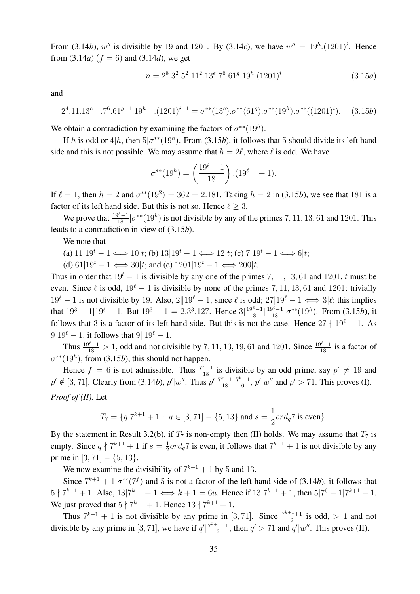From (3.14*b*), w'' is divisible by 19 and 1201. By (3.14*c*), we have  $w'' = 19<sup>h</sup>.(1201)<sup>i</sup>$ . Hence from  $(3.14a)$  ( $f = 6$ ) and  $(3.14d)$ , we get

$$
n = 28.32.52.112.13e.76.61g.19h.(1201)i
$$
 (3.15a)

and

$$
2^4.11.13^{e-1} \cdot 7^6.61^{g-1} \cdot 19^{h-1} \cdot (1201)^{i-1} = \sigma^{**}(13^e) \cdot \sigma^{**}(61^g) \cdot \sigma^{**}(19^h) \cdot \sigma^{**}((1201)^i). \tag{3.15b}
$$

We obtain a contradiction by examining the factors of  $\sigma^{**}(19^h)$ .

If h is odd or  $4|h$ , then  $5|\sigma^{**}(19h)$ . From (3.15*b*), it follows that 5 should divide its left hand side and this is not possible. We may assume that  $h = 2\ell$ , where  $\ell$  is odd. We have

$$
\sigma^{**}(19^h) = \left(\frac{19^{\ell} - 1}{18}\right) \cdot (19^{\ell+1} + 1).
$$

If  $\ell = 1$ , then  $h = 2$  and  $\sigma^{**}(19^2) = 362 = 2.181$ . Taking  $h = 2$  in (3.15*b*), we see that 181 is a factor of its left hand side. But this is not so. Hence  $\ell > 3$ .

We prove that  $\frac{19^{\ell}-1}{18}$  | $\sigma^{**}(19^h)$  is not divisible by any of the primes 7, 11, 13, 61 and 1201. This leads to a contradiction in view of (3.15*b*).

We note that

- (a)  $11|19^t 1 \Longleftrightarrow 10|t;$  (b)  $13|19^t 1 \Longleftrightarrow 12|t;$  (c)  $7|19^t 1 \Longleftrightarrow 6|t;$
- (d)  $61|19^t 1 \Longleftrightarrow 30|t$ ; and (e)  $1201|19^t 1 \Longleftrightarrow 200|t$ .

Thus in order that  $19<sup>t</sup> - 1$  is divisible by any one of the primes 7, 11, 13, 61 and 1201, t must be even. Since  $\ell$  is odd,  $19^{\ell} - 1$  is divisible by none of the primes 7, 11, 13, 61 and 1201; trivially  $19^\ell - 1$  is not divisible by 19. Also,  $2||19^\ell - 1$ , since  $\ell$  is odd;  $27|19^\ell - 1 \Longleftrightarrow 3|\ell$ ; this implies that  $19^3 - 1/19^{\ell} - 1$ . But  $19^3 - 1 = 2.3^3.127$ . Hence  $3\left|\frac{19^3 - 1}{8}\right|$  $\frac{3-1}{8}$  $\left|\frac{19^{\ell}-1}{18}\right| \sigma^{**}(19^h)$ . From (3.15*b*), it follows that 3 is a factor of its left hand side. But this is not the case. Hence  $27 \nmid 19^\ell - 1$ . As  $9|19^\ell - 1$ , it follows that  $9||19^\ell - 1$ .

Thus  $\frac{19^{\ell}-1}{18} > 1$ , odd and not divisible by 7, 11, 13, 19, 61 and 1201. Since  $\frac{19^{\ell}-1}{18}$  is a factor of  $\sigma^{**}(19^h)$ , from (3.15*b*), this should not happen.

Hence  $f = 6$  is not admissible. Thus  $\frac{7k-1}{18}$  is divisible by an odd prime, say  $p' \neq 19$  and  $p' \notin [3, 71]$ . Clearly from (3.14*b*),  $p'|w''$ . Thus  $p'| \frac{7^k-1}{18} | \frac{7^k-1}{6}$  $\frac{n-1}{6}$ ,  $p'|w''$  and  $p' > 71$ . This proves (I). *Proof of (II).* Let

$$
T_7 = \{q|7^{k+1} + 1: q \in [3, 71] - \{5, 13\} \text{ and } s = \frac{1}{2} \text{ord}_q 7 \text{ is even} \}.
$$

By the statement in Result 3.2(b), if  $T_7$  is non-empty then (II) holds. We may assume that  $T_7$  is empty. Since  $q \nmid 7^{k+1} + 1$  if  $s = \frac{1}{2}$  $\frac{1}{2}$ ord<sub>q</sub>7 is even, it follows that  $7^{k+1} + 1$  is not divisible by any prime in [3, 71]  $-$  {5, 13}.

We now examine the divisibility of  $7^{k+1} + 1$  by 5 and 13.

Since  $7^{k+1} + 1/\sigma^{*}(7^f)$  and 5 is not a factor of the left hand side of (3.14*b*), it follows that  $5 \nmid 7^{k+1} + 1$ . Also,  $13|7^{k+1} + 1 \Longleftrightarrow k+1 = 6u$ . Hence if  $13|7^{k+1} + 1$ , then  $5|7^6 + 1|7^{k+1} + 1$ . We just proved that  $5 \nmid 7^{k+1} + 1$ . Hence  $13 \nmid 7^{k+1} + 1$ .

Thus  $7^{k+1} + 1$  is not divisible by any prime in [3, 71]. Since  $\frac{7^{k+1}+1}{2}$  $\frac{1}{2}$  is odd,  $> 1$  and not divisible by any prime in [3, 71], we have if  $q' \frac{7^{k+1}+1}{2}$  $\frac{q^{1}+1}{2}$ , then  $q' > 71$  and  $q'|w''$ . This proves (II).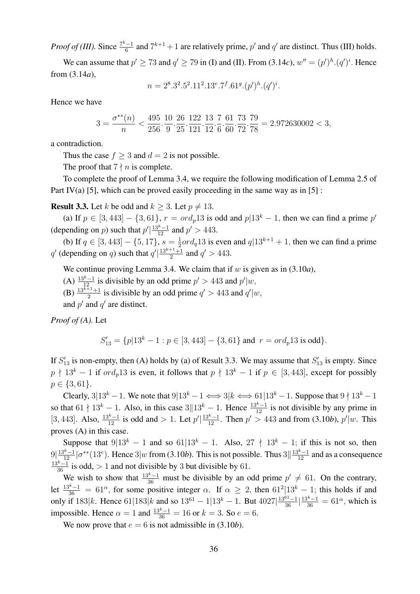*Proof of (III).* Since  $\frac{7^k-1}{6}$  $\frac{f-1}{6}$  and  $7^{k+1} + 1$  are relatively prime,  $p'$  and  $q'$  are distinct. Thus (III) holds.

We can assume that  $p' \ge 73$  and  $q' \ge 79$  in (I) and (II). From (3.14*c*),  $w'' = (p')^h (q')^i$ . Hence from (3.14*a*),

$$
n = 28.32.52.112.13e.7f.61g. (p')h. (q')i.
$$

Hence we have

$$
3=\frac{\sigma^{**}(n)}{n}<\frac{495}{256}\cdot\frac{10}{9}\cdot\frac{26}{25}\cdot\frac{122}{121}\cdot\frac{13}{12}\cdot\frac{7}{6}\cdot\frac{61}{60}\cdot\frac{73}{72}\cdot\frac{79}{78}=2.972630002<3,
$$

a contradiction.

Thus the case  $f > 3$  and  $d = 2$  is not possible.

The proof that  $7 \nmid n$  is complete.

To complete the proof of Lemma 3.4, we require the following modification of Lemma 2.5 of Part IV(a) [5], which can be proved easily proceeding in the same way as in [5] :

**Result 3.3.** Let k be odd and  $k > 3$ . Let  $p \neq 13$ .

(a) If  $p \in [3, 443] - \{3, 61\}$ ,  $r = \text{ord}_p 13$  is odd and  $p|13^k - 1$ , then we can find a prime  $p'$ (depending on *p*) such that  $p' \mid \frac{13^{k}-1}{12}$  and  $p' > 443$ .

(**b**) If  $q \in [3, 443] - \{5, 17\}$ ,  $s = \frac{1}{2}$  $\frac{1}{2}$ ord<sub>q</sub>13 is even and  $q$ |13<sup>k+1</sup> + 1, then we can find a prime q' (depending on q) such that  $q' \mid \frac{13^{k+1}+1}{2}$  $\frac{q+1}{2}$  and  $q' > 443$ .

We continue proving Lemma 3.4. We claim that if  $w$  is given as in  $(3.10a)$ ,

- (A)  $\frac{13^{k}-1}{12}$  is divisible by an odd prime  $p' > 443$  and  $p'|w$ ,
- (B)  $\frac{13^{k+1}+1}{2}$  is divisible by an odd prime  $q' > 443$  and  $q'|w$ ,

and  $p'$  and  $q'$  are distinct.

*Proof of (A).* Let

$$
S'_{13} = \{p|13^k - 1 : p \in [3, 443] - \{3, 61\} \text{ and } r = \text{ord}_p 13 \text{ is odd}\}.
$$

If  $S'_{13}$  is non-empty, then (A) holds by (a) of Result 3.3. We may assume that  $S'_{13}$  is empty. Since  $p \nmid 13^k - 1$  if  $\text{ord}_p13$  is even, it follows that  $p \nmid 13^k - 1$  if  $p \in [3, 443]$ , except for possibly  $p \in \{3, 61\}.$ 

Clearly, 3|13<sup>k</sup> − 1. We note that  $9|13^k - 1 \iff 3|k \iff 61|13^k - 1$ . Suppose that  $9 \nmid 13^k - 1$ so that  $61 \nmid 13^k - 1$ . Also, in this case  $3||13^k - 1$ . Hence  $\frac{13^k - 1}{12}$  is not divisible by any prime in [3, 443]. Also,  $\frac{13^{k}-1}{12}$  is odd and > 1. Let  $p'|\frac{13^{k}-1}{12}$ . Then  $p' > 443$  and from (3.10*b*),  $p'|w$ . This proves (A) in this case.

Suppose that  $9|13^k - 1$  and so  $61|13^k - 1$ . Also,  $27 \nmid 13^k - 1$ ; if this is not so, then  $9\left|\frac{13^{k}-1}{12}\right|\sigma^{**}(13^{e})$ . Hence  $3|w$  from (3.10*b*). This is not possible. Thus  $3\left|\frac{13^{k}-1}{12}\right|$  and as a consequence  $\frac{13^k-1}{36}$  is odd, > 1 and not divisible by 3 but divisible by 61.

We wish to show that  $\frac{13^k-1}{36}$  must be divisible by an odd prime  $p' \neq 61$ . On the contrary, let  $\frac{13^k-1}{36}$  = 61<sup> $\alpha$ </sup>, for some positive integer  $\alpha$ . If  $\alpha \ge 2$ , then 61<sup>2</sup>[13<sup>k</sup> – 1; this holds if and only if  $183|k$ . Hence  $61|183|k$  and so  $13^{61} - 1|13^k - 1$ . But  $4027|\frac{13^{61}-1}{36}| \frac{13^k-1}{36} = 61^\alpha$ , which is impossible. Hence  $\alpha = 1$  and  $\frac{13^{k}-1}{36} = 16$  or  $k = 3$ . So  $e = 6$ .

We now prove that  $e = 6$  is not admissible in (3.10*b*).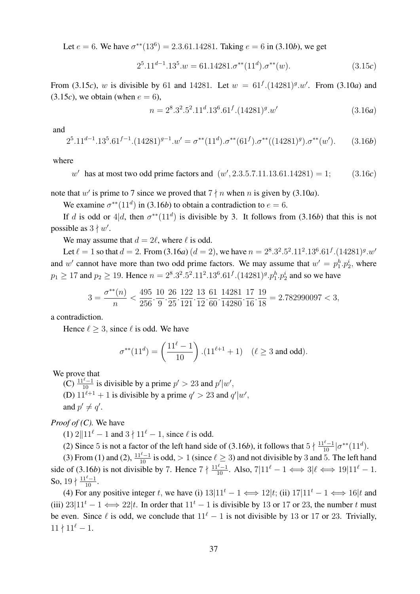Let  $e = 6$ . We have  $\sigma^{**}(13^6) = 2.3.61.14281$ . Taking  $e = 6$  in (3.10*b*), we get

$$
2^{5}.11^{d-1}.13^{5}.w = 61.14281.\sigma^{**}(11^d).\sigma^{**}(w). \tag{3.15c}
$$

From (3.15*c*), w is divisible by 61 and 14281. Let  $w = 61^f.(14281)^g.w'$ . From (3.10*a*) and  $(3.15c)$ , we obtain (when  $e = 6$ ),

$$
n = 28.32.52.11d.136.61f.(14281)g.w'
$$
 (3.16a)

and

$$
2^5 \cdot 11^{d-1} \cdot 13^5 \cdot 61^{f-1} \cdot (14281)^{g-1} \cdot w' = \sigma^{**} (11^d) \cdot \sigma^{**} (61^f) \cdot \sigma^{**} ((14281)^g) \cdot \sigma^{**} (w'). \tag{3.16b}
$$

where

 $w'$  has at most two odd prime factors and  $(w', 2.3.5.7.11.13.61.14281) = 1;$  (3.16*c*)

note that w' is prime to 7 since we proved that  $7 \nmid n$  when n is given by (3.10*a*).

We examine  $\sigma^{**}(11^d)$  in (3.16*b*) to obtain a contradiction to  $e = 6$ .

If d is odd or  $4|d$ , then  $\sigma^{**}(11^d)$  is divisible by 3. It follows from (3.16b) that this is not possible as  $3 \nmid w'$ .

We may assume that  $d = 2\ell$ , where  $\ell$  is odd.

Let  $\ell = 1$  so that  $d = 2$ . From (3.16*a*)  $(d = 2)$ , we have  $n = 2^8 \cdot 3^2 \cdot 5^2 \cdot 11^2 \cdot 13^6 \cdot 61^f \cdot (14281)^g \cdot w'$ and w' cannot have more than two odd prime factors. We may assume that  $w' = p_1^h \cdot p_2^i$ , where  $p_1 \ge 17$  and  $p_2 \ge 19$ . Hence  $n = 2^8 \cdot 3^2 \cdot 5^2 \cdot 11^2 \cdot 13^6 \cdot 61^f \cdot (14281)^g \cdot p_1^h \cdot p_2^i$  and so we have

$$
3=\frac{\sigma^{**}(n)}{n}<\frac{495}{256}\cdot\frac{10}{9}\cdot\frac{26}{25}\cdot\frac{122}{121}\cdot\frac{13}{12}\cdot\frac{61}{60}\cdot\frac{14281}{14280}\cdot\frac{17}{16}\cdot\frac{19}{18}=2.782990097<3,
$$

a contradiction.

Hence  $\ell > 3$ , since  $\ell$  is odd. We have

$$
\sigma^{**}(11^d) = \left(\frac{11^{\ell}-1}{10}\right) \cdot (11^{\ell+1}+1) \quad (\ell \ge 3 \text{ and odd}).
$$

We prove that

(C)  $\frac{11^{\ell}-1}{10}$  is divisible by a prime  $p' > 23$  and  $p'|w'$ ,

(D)  $11^{\ell+1} + 1$  is divisible by a prime  $q' > 23$  and  $q'|w'$ ,

and  $p' \neq q'$ .

*Proof of (C).* We have

(1)  $2||11^{\ell} - 1$  and  $3 \nmid 11^{\ell} - 1$ , since  $\ell$  is odd.

(2) Since 5 is not a factor of the left hand side of (3.16*b*), it follows that  $5 \nmid \frac{11^{\ell}-1}{10} | \sigma^{**}(11^d)$ .

(3) From (1) and (2),  $\frac{11^{\ell}-1}{10}$  is odd, > 1 (since  $\ell \ge 3$ ) and not divisible by 3 and 5. The left hand side of (3.16*b*) is not divisible by 7. Hence  $7 \nmid \frac{11^{\ell}-1}{10}$ . Also,  $7|11^{\ell}-1 \iff 3|\ell \iff 19|11^{\ell}-1$ . So,  $19 \nmid \frac{11^{\ell}-1}{10}$ .

(4) For any positive integer t, we have (i)  $13|11^t - 1 \iff 12|t$ ; (ii)  $17|11^t - 1 \iff 16|t$  and (iii)  $23|11^t - 1 \iff 22|t$ . In order that  $11^t - 1$  is divisible by 13 or 17 or 23, the number t must be even. Since  $\ell$  is odd, we conclude that  $11^{\ell} - 1$  is not divisible by 13 or 17 or 23. Trivially,  $11 \nmid 11^{\ell} - 1.$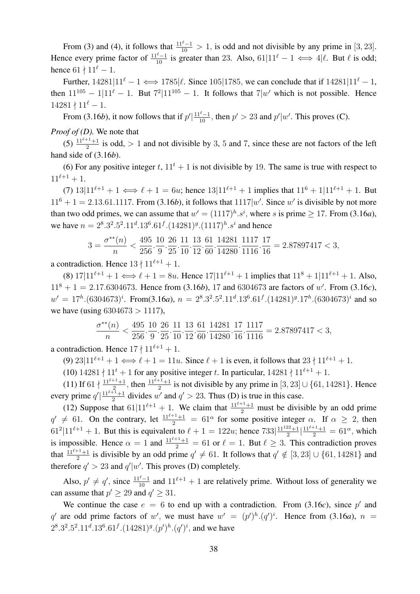From (3) and (4), it follows that  $\frac{11^{\ell}-1}{10} > 1$ , is odd and not divisible by any prime in [3, 23]. Hence every prime factor of  $\frac{11^{\ell}-1}{10}$  is greater than 23. Also, 61|11<sup> $\ell$ </sup> – 1  $\iff$  4| $\ell$ . But  $\ell$  is odd; hence  $61 \nmid 11^{\ell} - 1$ .

Further,  $14281|11^{\ell} - 1 \Longleftrightarrow 1785|\ell$ . Since 105|1785, we can conclude that if  $14281|11^{\ell} - 1$ , then  $11^{105} - 1/11^{\ell} - 1$ . But  $7^{2}/11^{105} - 1$ . It follows that  $7/w'$  which is not possible. Hence  $14281 \nmid 11^{\ell} - 1.$ 

From (3.16*b*), it now follows that if  $p' \mid \frac{11^\ell - 1}{10}$ , then  $p' > 23$  and  $p' \mid w'$ . This proves (C).

*Proof of (D).* We note that

(5)  $\frac{11^{l+1}+1}{2}$  is odd, > 1 and not divisible by 3, 5 and 7, since these are not factors of the left hand side of (3.16*b*).

(6) For any positive integer t,  $11<sup>t</sup> + 1$  is not divisible by 19. The same is true with respect to  $11^{\ell+1} + 1.$ 

(7)  $13|11^{\ell+1} + 1 \Longleftrightarrow \ell + 1 = 6u$ ; hence  $13|11^{\ell+1} + 1$  implies that  $11^6 + 1|11^{\ell+1} + 1$ . But  $11^6 + 1 = 2.13.61.1117$ . From (3.16*b*), it follows that  $1117|w'$ . Since w' is divisible by not more than two odd primes, we can assume that  $w' = (1117)^h \cdot s^i$ , where s is prime  $\geq 17$ . From (3.16*a*), we have  $n = 2^8 \cdot 3^2 \cdot 5^2 \cdot 11^d \cdot 13^6 \cdot 61^f \cdot (14281)^g \cdot (1117)^h \cdot s^i$  and hence

$$
3=\frac{\sigma^{**}(n)}{n}<\frac{495}{256}\cdot\frac{10}{9}\cdot\frac{26}{25}\cdot\frac{11}{10}\cdot\frac{13}{12}\cdot\frac{61}{60}\cdot\frac{14281}{14280}\cdot\frac{1117}{1116}\cdot\frac{17}{16}=2.87897417<3,
$$

a contradiction. Hence  $13 \nmid 11^{\ell+1} + 1$ .

(8)  $17|11^{\ell+1} + 1 \Longleftrightarrow \ell + 1 = 8u$ . Hence  $17|11^{\ell+1} + 1$  implies that  $11^8 + 1|11^{\ell+1} + 1$ . Also,  $11<sup>8</sup> + 1 = 2.17.6304673$ . Hence from (3.16*b*), 17 and 6304673 are factors of w'. From (3.16*c*),  $w' = 17<sup>h</sup>$ .(6304673)<sup>*i*</sup>. From(3.16*a*),  $n = 2<sup>8</sup> \cdot 3<sup>2</sup> \cdot 5<sup>2</sup> \cdot 11<sup>d</sup> \cdot 13<sup>6</sup> \cdot 61<sup>f</sup> \cdot (14281)<sup>g</sup> \cdot 17<sup>h</sup> \cdot (6304673)<sup>i</sup>$  and so we have (using  $6304673 > 1117$ ),

$$
\frac{\sigma^{**}(n)}{n} < \frac{495}{256} \cdot \frac{10}{9} \cdot \frac{26}{25} \cdot \frac{11}{10} \cdot \frac{13}{12} \cdot \frac{61}{60} \cdot \frac{14281}{14280} \cdot \frac{17}{16} \cdot \frac{1117}{1116} = 2.87897417 < 3,
$$

a contradiction. Hence  $17 \nmid 11^{\ell+1} + 1$ .

(9)  $23|11^{\ell+1} + 1 \Longleftrightarrow \ell + 1 = 11u$ . Since  $\ell + 1$  is even, it follows that  $23 \nmid 11^{\ell+1} + 1$ .

(10)  $14281 \nmid 11^t + 1$  for any positive integer t. In particular,  $14281 \nmid 11^{\ell+1} + 1$ .

(11) If 61  $\nmid \frac{11^{\ell+1}+1}{2}$ , then  $\frac{11^{\ell+1}+1}{2}$  is not divisible by any prime in [3, 23]  $\cup$  {61, 14281}. Hence 2  $\cdots$  2 every prime  $q' \mid \frac{11^{\ell+1}+1}{2}$  $\frac{p+1}{2}$  divides w' and  $q' > 23$ . Thus (D) is true in this case.

(12) Suppose that  $61|11^{\ell+1} + 1$ . We claim that  $\frac{11^{\ell+1}+1}{2}$  must be divisible by an odd prime  $q' \neq 61$ . On the contrary, let  $\frac{11^{\ell+1}+1}{2} = 61^{\alpha}$  for some positive integer  $\alpha$ . If  $\alpha \geq 2$ , then  $61^2|11^{\ell+1}+1$ . But this is equivalent to  $\ell+1 = 122u$ ; hence  $733|\frac{11^{122}+1}{2}$  $\frac{2^{2}+1}{2}$  $\left|\frac{11^{\ell+1}+1}{2}\right|$  = 61<sup> $\alpha$ </sup>, which is impossible. Hence  $\alpha = 1$  and  $\frac{11^{\ell+1}+1}{2} = 61$  or  $\ell = 1$ . But  $\ell \geq 3$ . This contradiction proves that  $\frac{11^{\ell+1}+1}{2}$  is divisible by an odd prime  $q' \neq 61$ . It follows that  $q' \notin [3, 23] \cup \{61, 14281\}$  and therefore  $q' > 23$  and  $q'|w'$ . This proves (D) completely.

Also,  $p' \neq q'$ , since  $\frac{11^{\ell}-1}{10}$  and  $11^{\ell+1} + 1$  are relatively prime. Without loss of generality we can assume that  $p' \ge 29$  and  $q' \ge 31$ .

We continue the case  $e = 6$  to end up with a contradiction. From (3.16*c*), since p' and q' are odd prime factors of w', we must have  $w' = (p')^h (q')^i$ . Hence from (3.16*a*),  $n =$  $2^8 \cdot 3^2 \cdot 5^2 \cdot 11^d \cdot 13^6 \cdot 61^f \cdot (14281)^g \cdot (p')^h \cdot (q')^i$ , and we have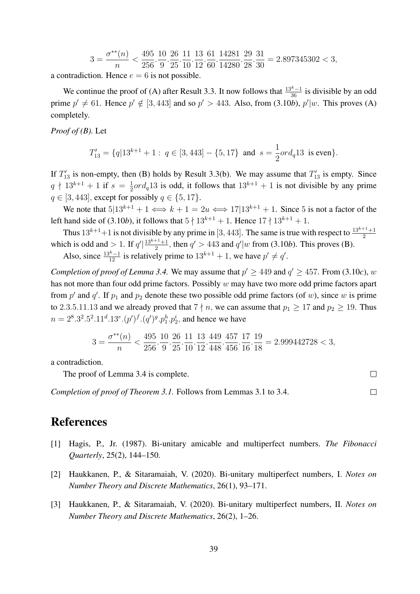$$
3 = \frac{\sigma^{**}(n)}{n} < \frac{495}{256} \cdot \frac{10}{9} \cdot \frac{26}{25} \cdot \frac{11}{10} \cdot \frac{13}{12} \cdot \frac{61}{60} \cdot \frac{14281}{14280} \cdot \frac{29}{28} \cdot \frac{31}{30} = 2.897345302 < 3,
$$

a contradiction. Hence  $e = 6$  is not possible.

We continue the proof of (A) after Result 3.3. It now follows that  $\frac{13^{k}-1}{36}$  is divisible by an odd prime  $p' \neq 61$ . Hence  $p' \notin [3, 443]$  and so  $p' > 443$ . Also, from (3.10*b*),  $p'|w$ . This proves (A) completely.

*Proof of (B).* Let

$$
T'_{13} = \{q|13^{k+1} + 1: q \in [3, 443] - \{5, 17\} \text{ and } s = \frac{1}{2}ord_q 13 \text{ is even}\}.
$$

If  $T'_{13}$  is non-empty, then (B) holds by Result 3.3(b). We may assume that  $T'_{13}$  is empty. Since  $q \nmid 13^{k+1} + 1$  if  $s = \frac{1}{2}$  $\frac{1}{2}ord_q13$  is odd, it follows that  $13^{k+1} + 1$  is not divisible by any prime  $q \in [3, 443]$ , except for possibly  $q \in \{5, 17\}$ .

We note that  $5|13^{k+1} + 1 \Longleftrightarrow k+1 = 2u \Longleftrightarrow 17|13^{k+1} + 1$ . Since 5 is not a factor of the left hand side of (3.10*b*), it follows that  $5 \nmid 13^{k+1} + 1$ . Hence  $17 \nmid 13^{k+1} + 1$ .

Thus  $13^{k+1}+1$  is not divisible by any prime in [3, 443]. The same is true with respect to  $\frac{13^{k+1}+1}{2}$ which is odd and  $> 1$ . If  $q' \frac{13^{k+1}+1}{2}$  $\frac{q}{2}^{1}$ , then  $q' > 443$  and  $q'|w$  from (3.10*b*). This proves (B).

Also, since  $\frac{13^k-1}{12}$  is relatively prime to  $13^{k+1}+1$ , we have  $p' \neq q'$ .

*Completion of proof of Lemma 3.4.* We may assume that  $p' \ge 449$  and  $q' \ge 457$ . From (3.10*c*), w has not more than four odd prime factors. Possibly  $w$  may have two more odd prime factors apart from  $p'$  and  $q'$ . If  $p_1$  and  $p_2$  denote these two possible odd prime factors (of w), since w is prime to 2.3.5.11.13 and we already proved that  $7 \nmid n$ , we can assume that  $p_1 \geq 17$  and  $p_2 \geq 19$ . Thus  $n = 2^8 \cdot 3^2 \cdot 5^2 \cdot 11^d \cdot 13^e \cdot (p')^f \cdot (q')^g \cdot p_1^h \cdot p_2^i$ , and hence we have

$$
3=\frac{\sigma^{**}(n)}{n}<\frac{495}{256}\cdot\frac{10}{9}\cdot\frac{26}{25}\cdot\frac{11}{10}\cdot\frac{13}{12}\cdot\frac{449}{448}\cdot\frac{457}{456}\cdot\frac{17}{16}\cdot\frac{19}{18}=2.999442728<3,
$$

 $\Box$ 

 $\Box$ 

a contradiction.

The proof of Lemma 3.4 is complete.

*Completion of proof of Theorem 3.1.* Follows from Lemmas 3.1 to 3.4.

#### References

- [1] Hagis, P., Jr. (1987). Bi-unitary amicable and multiperfect numbers. *The Fibonacci Quarterly*, 25(2), 144–150.
- [2] Haukkanen, P., & Sitaramaiah, V. (2020). Bi-unitary multiperfect numbers, I. *Notes on Number Theory and Discrete Mathematics*, 26(1), 93–171.
- [3] Haukkanen, P., & Sitaramaiah, V. (2020). Bi-unitary multiperfect numbers, II. *Notes on Number Theory and Discrete Mathematics*, 26(2), 1–26.